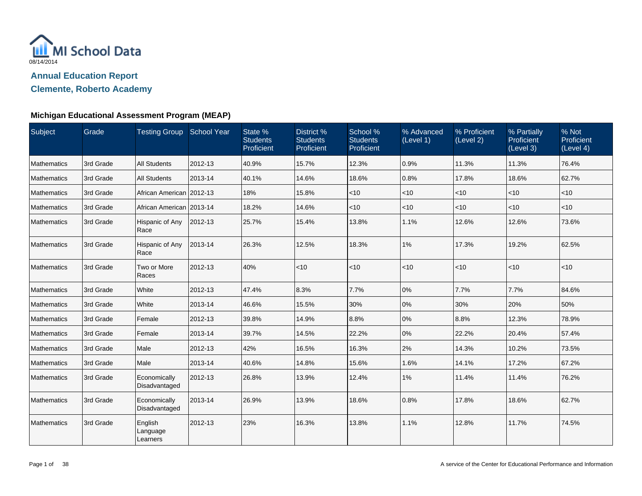

**Clemente, Roberto Academy**

| Subject            | Grade     | Testing Group School Year       |         | State %<br><b>Students</b><br>Proficient | District %<br><b>Students</b><br>Proficient | School %<br><b>Students</b><br>Proficient | % Advanced<br>(Level 1) | % Proficient<br>(Level 2) | % Partially<br>Proficient<br>(Level 3) | % Not<br>Proficient<br>(Level 4) |
|--------------------|-----------|---------------------------------|---------|------------------------------------------|---------------------------------------------|-------------------------------------------|-------------------------|---------------------------|----------------------------------------|----------------------------------|
| Mathematics        | 3rd Grade | <b>All Students</b>             | 2012-13 | 40.9%                                    | 15.7%                                       | 12.3%                                     | 0.9%                    | 11.3%                     | 11.3%                                  | 76.4%                            |
| Mathematics        | 3rd Grade | <b>All Students</b>             | 2013-14 | 40.1%                                    | 14.6%                                       | 18.6%                                     | 0.8%                    | 17.8%                     | 18.6%                                  | 62.7%                            |
| Mathematics        | 3rd Grade | African American   2012-13      |         | 18%                                      | 15.8%                                       | $<$ 10                                    | $ $ < 10                | $<$ 10                    | $<$ 10                                 | < 10                             |
| <b>Mathematics</b> | 3rd Grade | African American 2013-14        |         | 18.2%                                    | 14.6%                                       | $<$ 10                                    | $<$ 10                  | $<$ 10                    | < 10                                   | $<$ 10                           |
| Mathematics        | 3rd Grade | Hispanic of Any<br>Race         | 2012-13 | 25.7%                                    | 15.4%                                       | 13.8%                                     | 1.1%                    | 12.6%                     | 12.6%                                  | 73.6%                            |
| Mathematics        | 3rd Grade | Hispanic of Any<br>Race         | 2013-14 | 26.3%                                    | 12.5%                                       | 18.3%                                     | 1%                      | 17.3%                     | 19.2%                                  | 62.5%                            |
| <b>Mathematics</b> | 3rd Grade | Two or More<br>Races            | 2012-13 | 40%                                      | < 10                                        | < 10                                      | < 10                    | $<$ 10                    | < 10                                   | < 10                             |
| Mathematics        | 3rd Grade | White                           | 2012-13 | 47.4%                                    | 8.3%                                        | 7.7%                                      | 0%                      | 7.7%                      | 7.7%                                   | 84.6%                            |
| <b>Mathematics</b> | 3rd Grade | White                           | 2013-14 | 46.6%                                    | 15.5%                                       | 30%                                       | 0%                      | 30%                       | 20%                                    | 50%                              |
| Mathematics        | 3rd Grade | Female                          | 2012-13 | 39.8%                                    | 14.9%                                       | 8.8%                                      | 0%                      | 8.8%                      | 12.3%                                  | 78.9%                            |
| <b>Mathematics</b> | 3rd Grade | Female                          | 2013-14 | 39.7%                                    | 14.5%                                       | 22.2%                                     | 0%                      | 22.2%                     | 20.4%                                  | 57.4%                            |
| Mathematics        | 3rd Grade | Male                            | 2012-13 | 42%                                      | 16.5%                                       | 16.3%                                     | 2%                      | 14.3%                     | 10.2%                                  | 73.5%                            |
| Mathematics        | 3rd Grade | Male                            | 2013-14 | 40.6%                                    | 14.8%                                       | 15.6%                                     | 1.6%                    | 14.1%                     | 17.2%                                  | 67.2%                            |
| Mathematics        | 3rd Grade | Economically<br>Disadvantaged   | 2012-13 | 26.8%                                    | 13.9%                                       | 12.4%                                     | 1%                      | 11.4%                     | 11.4%                                  | 76.2%                            |
| <b>Mathematics</b> | 3rd Grade | Economically<br>Disadvantaged   | 2013-14 | 26.9%                                    | 13.9%                                       | 18.6%                                     | 0.8%                    | 17.8%                     | 18.6%                                  | 62.7%                            |
| Mathematics        | 3rd Grade | English<br>Language<br>Learners | 2012-13 | 23%                                      | 16.3%                                       | 13.8%                                     | 1.1%                    | 12.8%                     | 11.7%                                  | 74.5%                            |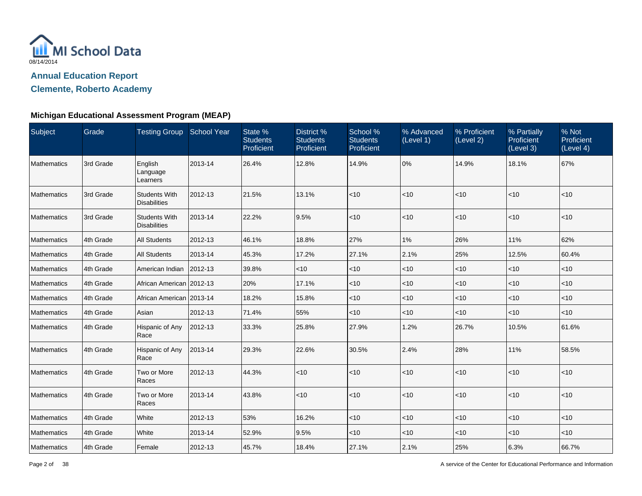

**Clemente, Roberto Academy**

| Subject            | Grade     | Testing Group School Year                   |              | State %<br><b>Students</b><br>Proficient | District %<br><b>Students</b><br>Proficient | School %<br><b>Students</b><br>Proficient | % Advanced<br>(Level 1) | % Proficient<br>(Level 2) | % Partially<br><b>Proficient</b><br>(Level 3) | % Not<br>Proficient<br>(Level 4) |
|--------------------|-----------|---------------------------------------------|--------------|------------------------------------------|---------------------------------------------|-------------------------------------------|-------------------------|---------------------------|-----------------------------------------------|----------------------------------|
| <b>Mathematics</b> | 3rd Grade | English<br>Language<br>Learners             | 2013-14      | 26.4%                                    | 12.8%                                       | 14.9%                                     | 0%                      | 14.9%                     | 18.1%                                         | 67%                              |
| <b>Mathematics</b> | 3rd Grade | <b>Students With</b><br><b>Disabilities</b> | 2012-13      | 21.5%                                    | 13.1%                                       | <10                                       | $<$ 10                  | $<$ 10                    | $<$ 10                                        | $<$ 10                           |
| <b>Mathematics</b> | 3rd Grade | <b>Students With</b><br><b>Disabilities</b> | 2013-14      | 22.2%                                    | 9.5%                                        | $<10$                                     | <10                     | $<$ 10                    | < 10                                          | $<$ 10                           |
| <b>Mathematics</b> | 4th Grade | <b>All Students</b>                         | 2012-13      | 46.1%                                    | 18.8%                                       | 27%                                       | 1%                      | 26%                       | 11%                                           | 62%                              |
| <b>Mathematics</b> | 4th Grade | <b>All Students</b>                         | 2013-14      | 45.3%                                    | 17.2%                                       | 27.1%                                     | 2.1%                    | 25%                       | 12.5%                                         | 60.4%                            |
| <b>Mathematics</b> | 4th Grade | American Indian                             | $ 2012 - 13$ | 39.8%                                    | < 10                                        | < 10                                      | $<$ 10                  | $<$ 10                    | $<$ 10                                        | < 10                             |
| <b>Mathematics</b> | 4th Grade | African American   2012-13                  |              | 20%                                      | 17.1%                                       | $<$ 10                                    | $<$ 10                  | $<$ 10                    | $<$ 10                                        | $<$ 10                           |
| <b>Mathematics</b> | 4th Grade | African American 2013-14                    |              | 18.2%                                    | 15.8%                                       | $<$ 10                                    | $<$ 10                  | $<$ 10                    | $<$ 10                                        | $<$ 10                           |
| <b>Mathematics</b> | 4th Grade | Asian                                       | 2012-13      | 71.4%                                    | 55%                                         | < 10                                      | $<$ 10                  | $<$ 10                    | $<$ 10                                        | $<$ 10                           |
| <b>Mathematics</b> | 4th Grade | Hispanic of Any<br>Race                     | 2012-13      | 33.3%                                    | 25.8%                                       | 27.9%                                     | 1.2%                    | 26.7%                     | 10.5%                                         | 61.6%                            |
| <b>Mathematics</b> | 4th Grade | Hispanic of Any<br>Race                     | 2013-14      | 29.3%                                    | 22.6%                                       | 30.5%                                     | 2.4%                    | 28%                       | 11%                                           | 58.5%                            |
| <b>Mathematics</b> | 4th Grade | Two or More<br>Races                        | 2012-13      | 44.3%                                    | $ $ < 10                                    | < 10                                      | $<$ 10                  | $<$ 10                    | $ $ < 10                                      | $<$ 10                           |
| <b>Mathematics</b> | 4th Grade | Two or More<br>Races                        | 2013-14      | 43.8%                                    | $<$ 10                                      | $<$ 10                                    | $<$ 10                  | $<$ 10                    | $<$ 10                                        | $<$ 10                           |
| <b>Mathematics</b> | 4th Grade | White                                       | 2012-13      | 53%                                      | 16.2%                                       | $<$ 10                                    | $<$ 10                  | $<$ 10                    | $<$ 10                                        | $<$ 10                           |
| <b>Mathematics</b> | 4th Grade | White                                       | 2013-14      | 52.9%                                    | 9.5%                                        | $<$ 10                                    | $<$ 10                  | $<$ 10                    | $<$ 10                                        | $<$ 10                           |
| Mathematics        | 4th Grade | Female                                      | 2012-13      | 45.7%                                    | 18.4%                                       | 27.1%                                     | 2.1%                    | 25%                       | 6.3%                                          | 66.7%                            |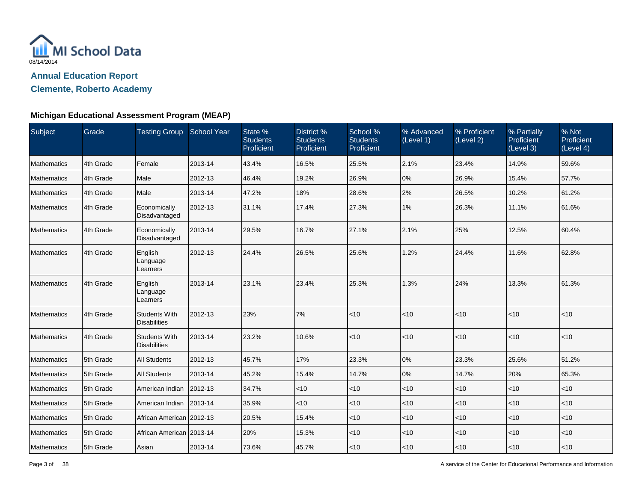

**Clemente, Roberto Academy**

| Subject            | Grade     | Testing Group School Year                   |         | State %<br><b>Students</b><br>Proficient | District %<br><b>Students</b><br>Proficient | School %<br><b>Students</b><br>Proficient | % Advanced<br>(Level 1) | % Proficient<br>(Level 2) | % Partially<br><b>Proficient</b><br>(Level 3) | % Not<br>Proficient<br>(Level 4) |
|--------------------|-----------|---------------------------------------------|---------|------------------------------------------|---------------------------------------------|-------------------------------------------|-------------------------|---------------------------|-----------------------------------------------|----------------------------------|
| Mathematics        | 4th Grade | Female                                      | 2013-14 | 43.4%                                    | 16.5%                                       | 25.5%                                     | 2.1%                    | 23.4%                     | 14.9%                                         | 59.6%                            |
| Mathematics        | 4th Grade | Male                                        | 2012-13 | 46.4%                                    | 19.2%                                       | 26.9%                                     | 0%                      | 26.9%                     | 15.4%                                         | 57.7%                            |
| Mathematics        | 4th Grade | Male                                        | 2013-14 | 47.2%                                    | 18%                                         | 28.6%                                     | 2%                      | 26.5%                     | 10.2%                                         | 61.2%                            |
| Mathematics        | 4th Grade | Economically<br>Disadvantaged               | 2012-13 | 31.1%                                    | 17.4%                                       | 27.3%                                     | 1%                      | 26.3%                     | 11.1%                                         | 61.6%                            |
| Mathematics        | 4th Grade | Economically<br>Disadvantaged               | 2013-14 | 29.5%                                    | 16.7%                                       | 27.1%                                     | 2.1%                    | 25%                       | 12.5%                                         | 60.4%                            |
| Mathematics        | 4th Grade | English<br>Language<br>Learners             | 2012-13 | 24.4%                                    | 26.5%                                       | 25.6%                                     | 1.2%                    | 24.4%                     | 11.6%                                         | 62.8%                            |
| <b>Mathematics</b> | 4th Grade | English<br>Language<br>Learners             | 2013-14 | 23.1%                                    | 23.4%                                       | 25.3%                                     | 1.3%                    | 24%                       | 13.3%                                         | 61.3%                            |
| Mathematics        | 4th Grade | <b>Students With</b><br><b>Disabilities</b> | 2012-13 | 23%                                      | 7%                                          | < 10                                      | $ $ < 10                | $\vert$ < 10              | <10                                           | $<$ 10                           |
| Mathematics        | 4th Grade | <b>Students With</b><br><b>Disabilities</b> | 2013-14 | 23.2%                                    | 10.6%                                       | $<$ 10                                    | < 10                    | $ $ < 10                  | $<$ 10                                        | $<$ 10                           |
| Mathematics        | 5th Grade | <b>All Students</b>                         | 2012-13 | 45.7%                                    | 17%                                         | 23.3%                                     | 0%                      | 23.3%                     | 25.6%                                         | 51.2%                            |
| Mathematics        | 5th Grade | <b>All Students</b>                         | 2013-14 | 45.2%                                    | 15.4%                                       | 14.7%                                     | 0%                      | 14.7%                     | 20%                                           | 65.3%                            |
| Mathematics        | 5th Grade | American Indian                             | 2012-13 | 34.7%                                    | $<$ 10                                      | $ $ < 10                                  | $ $ < 10                | $<$ 10                    | $<$ 10                                        | $<$ 10                           |
| Mathematics        | 5th Grade | American Indian                             | 2013-14 | 35.9%                                    | $<$ 10                                      | $<$ 10                                    | $<$ 10                  | $<$ 10                    | $<$ 10                                        | $<$ 10                           |
| Mathematics        | 5th Grade | African American 2012-13                    |         | 20.5%                                    | 15.4%                                       | $<$ 10                                    | $ $ < 10                | $<$ 10                    | $<$ 10                                        | $<$ 10                           |
| Mathematics        | 5th Grade | African American 2013-14                    |         | 20%                                      | 15.3%                                       | $<$ 10                                    | $ $ < 10                | $<$ 10                    | $<$ 10                                        | $<$ 10                           |
| Mathematics        | 5th Grade | Asian                                       | 2013-14 | 73.6%                                    | 45.7%                                       | ~10                                       | $ $ < 10                | $ $ < 10                  | $<$ 10                                        | $<$ 10                           |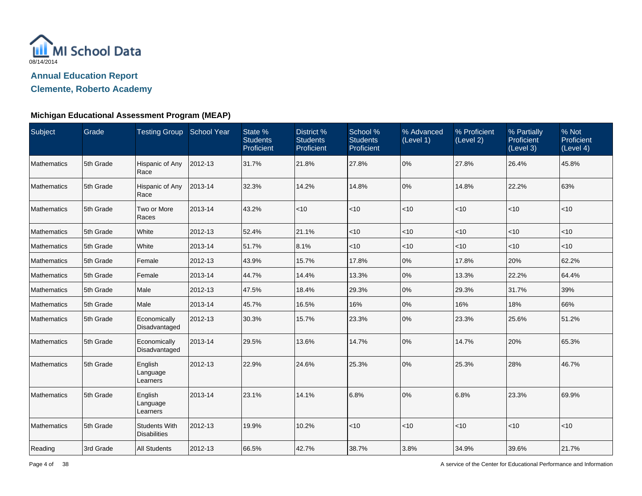

**Clemente, Roberto Academy**

| Subject            | Grade     | Testing Group School Year                   |         | State %<br><b>Students</b><br>Proficient | District %<br><b>Students</b><br>Proficient | School %<br><b>Students</b><br>Proficient | % Advanced<br>(Level 1) | % Proficient<br>(Level 2) | % Partially<br>Proficient<br>(Level 3) | % Not<br>Proficient<br>(Level 4) |
|--------------------|-----------|---------------------------------------------|---------|------------------------------------------|---------------------------------------------|-------------------------------------------|-------------------------|---------------------------|----------------------------------------|----------------------------------|
| Mathematics        | 5th Grade | Hispanic of Any<br>Race                     | 2012-13 | 31.7%                                    | 21.8%                                       | 27.8%                                     | 0%                      | 27.8%                     | 26.4%                                  | 45.8%                            |
| Mathematics        | 5th Grade | Hispanic of Any<br>Race                     | 2013-14 | 32.3%                                    | 14.2%                                       | 14.8%                                     | 0%                      | 14.8%                     | 22.2%                                  | 63%                              |
| Mathematics        | 5th Grade | Two or More<br>Races                        | 2013-14 | 43.2%                                    | < 10                                        | $<10$                                     | < 10                    | $ $ < 10                  | < 10                                   | $<$ 10                           |
| Mathematics        | 5th Grade | White                                       | 2012-13 | 52.4%                                    | 21.1%                                       | $<$ 10                                    | < 10                    | $<$ 10                    | $<$ 10                                 | $<$ 10                           |
| Mathematics        | 5th Grade | White                                       | 2013-14 | 51.7%                                    | 8.1%                                        | < 10                                      | $<$ 10                  | $<$ 10                    | < 10                                   | $<$ 10                           |
| <b>Mathematics</b> | 5th Grade | Female                                      | 2012-13 | 43.9%                                    | 15.7%                                       | 17.8%                                     | 0%                      | 17.8%                     | 20%                                    | 62.2%                            |
| Mathematics        | 5th Grade | Female                                      | 2013-14 | 44.7%                                    | 14.4%                                       | 13.3%                                     | 0%                      | 13.3%                     | 22.2%                                  | 64.4%                            |
| Mathematics        | 5th Grade | Male                                        | 2012-13 | 47.5%                                    | 18.4%                                       | 29.3%                                     | 0%                      | 29.3%                     | 31.7%                                  | 39%                              |
| Mathematics        | 5th Grade | Male                                        | 2013-14 | 45.7%                                    | 16.5%                                       | 16%                                       | 0%                      | 16%                       | 18%                                    | 66%                              |
| Mathematics        | 5th Grade | Economically<br>Disadvantaged               | 2012-13 | 30.3%                                    | 15.7%                                       | 23.3%                                     | 0%                      | 23.3%                     | 25.6%                                  | 51.2%                            |
| Mathematics        | 5th Grade | Economically<br>Disadvantaged               | 2013-14 | 29.5%                                    | 13.6%                                       | 14.7%                                     | 0%                      | 14.7%                     | 20%                                    | 65.3%                            |
| Mathematics        | 5th Grade | English<br>Language<br>Learners             | 2012-13 | 22.9%                                    | 24.6%                                       | 25.3%                                     | 0%                      | 25.3%                     | 28%                                    | 46.7%                            |
| <b>Mathematics</b> | 5th Grade | English<br>Language<br>Learners             | 2013-14 | 23.1%                                    | 14.1%                                       | 6.8%                                      | 0%                      | 6.8%                      | 23.3%                                  | 69.9%                            |
| Mathematics        | 5th Grade | <b>Students With</b><br><b>Disabilities</b> | 2012-13 | 19.9%                                    | 10.2%                                       | < 10                                      | < 10                    | $ $ < 10                  | $<$ 10                                 | $<$ 10                           |
| Reading            | 3rd Grade | <b>All Students</b>                         | 2012-13 | 66.5%                                    | 42.7%                                       | 38.7%                                     | 3.8%                    | 34.9%                     | 39.6%                                  | 21.7%                            |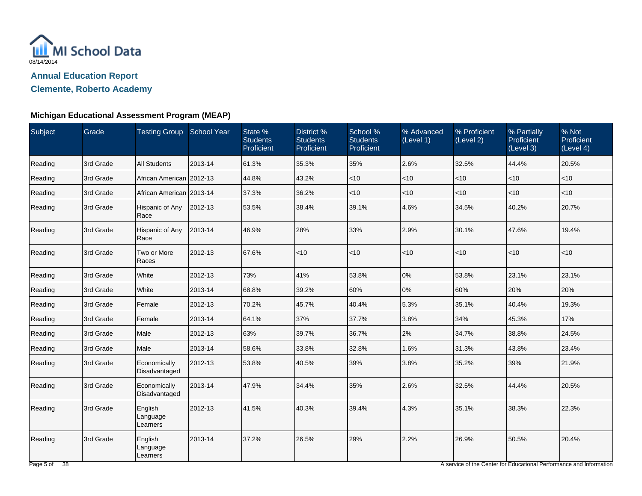

**Clemente, Roberto Academy**

### **Michigan Educational Assessment Program (MEAP)**

| Subject | Grade     | Testing Group School Year       |         | State %<br><b>Students</b><br>Proficient | District %<br><b>Students</b><br>Proficient | School %<br><b>Students</b><br>Proficient | % Advanced<br>(Level 1) | % Proficient<br>(Level 2) | % Partially<br>Proficient<br>(Level 3) | % Not<br>Proficient<br>(Level 4) |
|---------|-----------|---------------------------------|---------|------------------------------------------|---------------------------------------------|-------------------------------------------|-------------------------|---------------------------|----------------------------------------|----------------------------------|
| Reading | 3rd Grade | <b>All Students</b>             | 2013-14 | 61.3%                                    | 35.3%                                       | 35%                                       | 2.6%                    | 32.5%                     | 44.4%                                  | 20.5%                            |
| Reading | 3rd Grade | African American 2012-13        |         | 44.8%                                    | 43.2%                                       | $<$ 10                                    | ~10                     | <10                       | $<$ 10                                 | < 10                             |
| Reading | 3rd Grade | African American 2013-14        |         | 37.3%                                    | 36.2%                                       | $<$ 10                                    | < 10                    | <10                       | $<$ 10                                 | $<$ 10                           |
| Reading | 3rd Grade | Hispanic of Any<br>Race         | 2012-13 | 53.5%                                    | 38.4%                                       | 39.1%                                     | 4.6%                    | 34.5%                     | 40.2%                                  | 20.7%                            |
| Reading | 3rd Grade | Hispanic of Any<br>Race         | 2013-14 | 46.9%                                    | 28%                                         | 33%                                       | 2.9%                    | 30.1%                     | 47.6%                                  | 19.4%                            |
| Reading | 3rd Grade | Two or More<br>Races            | 2012-13 | 67.6%                                    | < 10                                        | < 10                                      | < 10                    | $<$ 10                    | < 10                                   | <10                              |
| Reading | 3rd Grade | White                           | 2012-13 | 73%                                      | 41%                                         | 53.8%                                     | 0%                      | 53.8%                     | 23.1%                                  | 23.1%                            |
| Reading | 3rd Grade | White                           | 2013-14 | 68.8%                                    | 39.2%                                       | 60%                                       | 0%                      | 60%                       | 20%                                    | 20%                              |
| Reading | 3rd Grade | Female                          | 2012-13 | 70.2%                                    | 45.7%                                       | 40.4%                                     | 5.3%                    | 35.1%                     | 40.4%                                  | 19.3%                            |
| Reading | 3rd Grade | Female                          | 2013-14 | 64.1%                                    | 37%                                         | 37.7%                                     | 3.8%                    | 34%                       | 45.3%                                  | 17%                              |
| Reading | 3rd Grade | Male                            | 2012-13 | 63%                                      | 39.7%                                       | 36.7%                                     | 2%                      | 34.7%                     | 38.8%                                  | 24.5%                            |
| Reading | 3rd Grade | Male                            | 2013-14 | 58.6%                                    | 33.8%                                       | 32.8%                                     | 1.6%                    | 31.3%                     | 43.8%                                  | 23.4%                            |
| Reading | 3rd Grade | Economically<br>Disadvantaged   | 2012-13 | 53.8%                                    | 40.5%                                       | 39%                                       | 3.8%                    | 35.2%                     | 39%                                    | 21.9%                            |
| Reading | 3rd Grade | Economically<br>Disadvantaged   | 2013-14 | 47.9%                                    | 34.4%                                       | 35%                                       | 2.6%                    | 32.5%                     | 44.4%                                  | 20.5%                            |
| Reading | 3rd Grade | English<br>Language<br>Learners | 2012-13 | 41.5%                                    | 40.3%                                       | 39.4%                                     | 4.3%                    | 35.1%                     | 38.3%                                  | 22.3%                            |
| Reading | 3rd Grade | English<br>Language<br>Learners | 2013-14 | 37.2%                                    | 26.5%                                       | 29%                                       | 2.2%                    | 26.9%                     | 50.5%                                  | 20.4%                            |

A service of the Center for Educational Performance and Information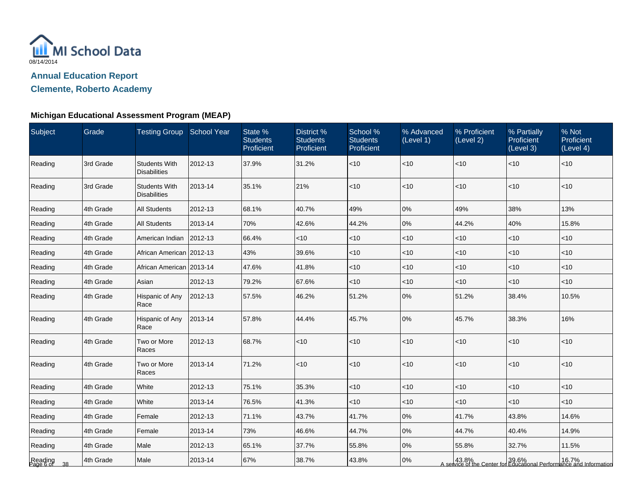

**Clemente, Roberto Academy**

| Subject                 | Grade     | Testing Group School Year                   |         | State %<br><b>Students</b><br>Proficient | District %<br><b>Students</b><br>Proficient | School %<br><b>Students</b><br>Proficient | % Advanced<br>(Level 1) | % Proficient<br>(Level 2) | % Partially<br><b>Proficient</b><br>(Level 3) | % Not<br>Proficient<br>(Level 4)                                                            |
|-------------------------|-----------|---------------------------------------------|---------|------------------------------------------|---------------------------------------------|-------------------------------------------|-------------------------|---------------------------|-----------------------------------------------|---------------------------------------------------------------------------------------------|
| Reading                 | 3rd Grade | <b>Students With</b><br><b>Disabilities</b> | 2012-13 | 37.9%                                    | 31.2%                                       | $<$ 10                                    | < 10                    | $<$ 10                    | $<$ 10                                        | < 10                                                                                        |
| Reading                 | 3rd Grade | <b>Students With</b><br><b>Disabilities</b> | 2013-14 | 35.1%                                    | 21%                                         | < 10                                      | < 10                    | $<$ 10                    | < 10                                          | < 10                                                                                        |
| Reading                 | 4th Grade | <b>All Students</b>                         | 2012-13 | 68.1%                                    | 40.7%                                       | 49%                                       | 0%                      | 49%                       | 38%                                           | 13%                                                                                         |
| Reading                 | 4th Grade | <b>All Students</b>                         | 2013-14 | 70%                                      | 42.6%                                       | 44.2%                                     | 0%                      | 44.2%                     | 40%                                           | 15.8%                                                                                       |
| Reading                 | 4th Grade | American Indian                             | 2012-13 | 66.4%                                    | $<$ 10                                      | $<10$                                     | < 10                    | $<$ 10                    | $<$ 10                                        | < 10                                                                                        |
| Reading                 | 4th Grade | African American 2012-13                    |         | 43%                                      | 39.6%                                       | ~10                                       | <10                     | $<$ 10                    | $<$ 10                                        | < 10                                                                                        |
| Reading                 | 4th Grade | African American 2013-14                    |         | 47.6%                                    | 41.8%                                       | ~10                                       | $<$ 10                  | $<$ 10                    | $<$ 10                                        | $<$ 10                                                                                      |
| Reading                 | 4th Grade | Asian                                       | 2012-13 | 79.2%                                    | 67.6%                                       | $<$ 10                                    | $<$ 10                  | $<$ 10                    | < 10                                          | $<$ 10                                                                                      |
| Reading                 | 4th Grade | Hispanic of Any<br>Race                     | 2012-13 | 57.5%                                    | 46.2%                                       | 51.2%                                     | 0%                      | 51.2%                     | 38.4%                                         | 10.5%                                                                                       |
| Reading                 | 4th Grade | Hispanic of Any<br>Race                     | 2013-14 | 57.8%                                    | 44.4%                                       | 45.7%                                     | 0%                      | 45.7%                     | 38.3%                                         | 16%                                                                                         |
| Reading                 | 4th Grade | Two or More<br>Races                        | 2012-13 | 68.7%                                    | $<$ 10                                      | ~10                                       | $<$ 10                  | $<$ 10                    | $<$ 10                                        | $<$ 10                                                                                      |
| Reading                 | 4th Grade | Two or More<br>Races                        | 2013-14 | 71.2%                                    | $<$ 10                                      | $<10$                                     | < 10                    | < 10                      | $<$ 10                                        | $<$ 10                                                                                      |
| Reading                 | 4th Grade | White                                       | 2012-13 | 75.1%                                    | 35.3%                                       | $<$ 10                                    | $<$ 10                  | $<$ 10                    | $<$ 10                                        | $<$ 10                                                                                      |
| Reading                 | 4th Grade | White                                       | 2013-14 | 76.5%                                    | 41.3%                                       | $<$ 10                                    | $<$ 10                  | $<$ 10                    | $<$ 10                                        | $<$ 10                                                                                      |
| Reading                 | 4th Grade | Female                                      | 2012-13 | 71.1%                                    | 43.7%                                       | 41.7%                                     | 0%                      | 41.7%                     | 43.8%                                         | 14.6%                                                                                       |
| Reading                 | 4th Grade | Female                                      | 2013-14 | 73%                                      | 46.6%                                       | 44.7%                                     | 0%                      | 44.7%                     | 40.4%                                         | 14.9%                                                                                       |
| Reading                 | 4th Grade | Male                                        | 2012-13 | 65.1%                                    | 37.7%                                       | 55.8%                                     | 0%                      | 55.8%                     | 32.7%                                         | 11.5%                                                                                       |
| Reading<br>Page 6 of 38 | 4th Grade | Male                                        | 2013-14 | 67%                                      | 38.7%                                       | 43.8%                                     | 0%                      |                           |                                               | 43.8%  16.7%   16.7%<br>A service of the Center for Educational Performance and Information |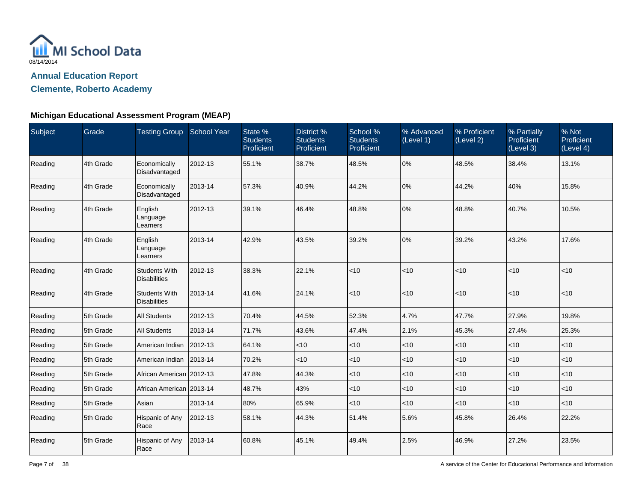

**Clemente, Roberto Academy**

| Subject | Grade     | Testing Group School Year                   |         | State %<br><b>Students</b><br>Proficient | District %<br><b>Students</b><br>Proficient | School %<br><b>Students</b><br>Proficient | % Advanced<br>(Level 1) | % Proficient<br>(Level 2) | % Partially<br>Proficient<br>(Level 3) | % Not<br>Proficient<br>(Level 4) |
|---------|-----------|---------------------------------------------|---------|------------------------------------------|---------------------------------------------|-------------------------------------------|-------------------------|---------------------------|----------------------------------------|----------------------------------|
| Reading | 4th Grade | Economically<br>Disadvantaged               | 2012-13 | 55.1%                                    | 38.7%                                       | 48.5%                                     | 0%                      | 48.5%                     | 38.4%                                  | 13.1%                            |
| Reading | 4th Grade | Economically<br>Disadvantaged               | 2013-14 | 57.3%                                    | 40.9%                                       | 44.2%                                     | 0%                      | 44.2%                     | 40%                                    | 15.8%                            |
| Reading | 4th Grade | English<br>Language<br>Learners             | 2012-13 | 39.1%                                    | 46.4%                                       | 48.8%                                     | 0%                      | 48.8%                     | 40.7%                                  | 10.5%                            |
| Reading | 4th Grade | English<br>Language<br>Learners             | 2013-14 | 42.9%                                    | 43.5%                                       | 39.2%                                     | 0%                      | 39.2%                     | 43.2%                                  | 17.6%                            |
| Reading | 4th Grade | <b>Students With</b><br><b>Disabilities</b> | 2012-13 | 38.3%                                    | 22.1%                                       | $<10$                                     | $ $ < 10                | < 10                      | < 10                                   | < 10                             |
| Reading | 4th Grade | <b>Students With</b><br><b>Disabilities</b> | 2013-14 | 41.6%                                    | 24.1%                                       | $<10$                                     | $ $ < 10                | < 10                      | < 10                                   | < 10                             |
| Reading | 5th Grade | <b>All Students</b>                         | 2012-13 | 70.4%                                    | 44.5%                                       | 52.3%                                     | 4.7%                    | 47.7%                     | 27.9%                                  | 19.8%                            |
| Reading | 5th Grade | <b>All Students</b>                         | 2013-14 | 71.7%                                    | 43.6%                                       | 47.4%                                     | 2.1%                    | 45.3%                     | 27.4%                                  | 25.3%                            |
| Reading | 5th Grade | American Indian                             | 2012-13 | 64.1%                                    | $ $ < 10                                    | $<$ 10                                    | $ $ < 10                | < 10                      | $<$ 10                                 | < 10                             |
| Reading | 5th Grade | American Indian                             | 2013-14 | 70.2%                                    | $<$ 10                                      | $<$ 10                                    | $<$ 10                  | $<$ 10                    | < 10                                   | < 10                             |
| Reading | 5th Grade | African American 2012-13                    |         | 47.8%                                    | 44.3%                                       | $<10$                                     | $ $ < 10                | < 10                      | $<$ 10                                 | < 10                             |
| Reading | 5th Grade | African American 2013-14                    |         | 48.7%                                    | 43%                                         | ~10                                       | $ $ < 10                | < 10                      | $<$ 10                                 | < 10                             |
| Reading | 5th Grade | Asian                                       | 2013-14 | 80%                                      | 65.9%                                       | $<$ 10                                    | $<$ 10                  | $<$ 10                    | $<$ 10                                 | $<$ 10                           |
| Reading | 5th Grade | Hispanic of Any<br>Race                     | 2012-13 | 58.1%                                    | 44.3%                                       | 51.4%                                     | 5.6%                    | 45.8%                     | 26.4%                                  | 22.2%                            |
| Reading | 5th Grade | Hispanic of Any<br>Race                     | 2013-14 | 60.8%                                    | 45.1%                                       | 49.4%                                     | 2.5%                    | 46.9%                     | 27.2%                                  | 23.5%                            |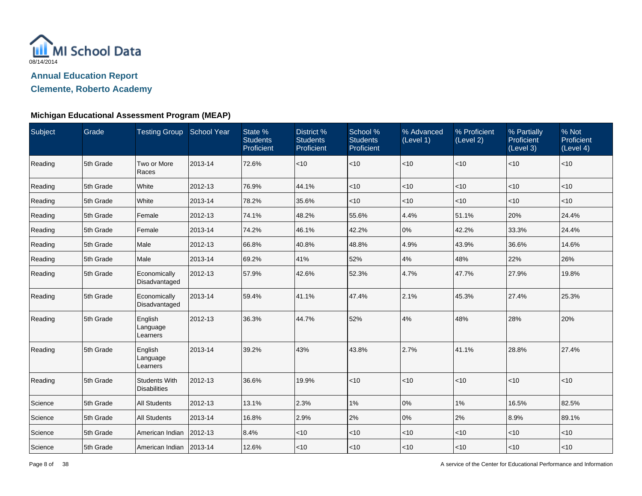

**Clemente, Roberto Academy**

| Subject | Grade     | Testing Group School Year                   |         | State %<br><b>Students</b><br>Proficient | District %<br><b>Students</b><br>Proficient | School %<br><b>Students</b><br>Proficient | % Advanced<br>(Level 1) | % Proficient<br>(Level 2) | % Partially<br>Proficient<br>(Level 3) | % Not<br>Proficient<br>(Level 4) |
|---------|-----------|---------------------------------------------|---------|------------------------------------------|---------------------------------------------|-------------------------------------------|-------------------------|---------------------------|----------------------------------------|----------------------------------|
| Reading | 5th Grade | Two or More<br>Races                        | 2013-14 | 72.6%                                    | < 10                                        | <10                                       | <10                     | $<$ 10                    | <10                                    | $<$ 10                           |
| Reading | 5th Grade | White                                       | 2012-13 | 76.9%                                    | 44.1%                                       | $<$ 10                                    | <10                     | $<$ 10                    | $<$ 10                                 | $<$ 10                           |
| Reading | 5th Grade | White                                       | 2013-14 | 78.2%                                    | 35.6%                                       | $<$ 10                                    | $<$ 10                  | $<$ 10                    | $<$ 10                                 | $<$ 10                           |
| Reading | 5th Grade | Female                                      | 2012-13 | 74.1%                                    | 48.2%                                       | 55.6%                                     | 4.4%                    | 51.1%                     | 20%                                    | 24.4%                            |
| Reading | 5th Grade | Female                                      | 2013-14 | 74.2%                                    | 46.1%                                       | 42.2%                                     | 0%                      | 42.2%                     | 33.3%                                  | 24.4%                            |
| Reading | 5th Grade | Male                                        | 2012-13 | 66.8%                                    | 40.8%                                       | 48.8%                                     | 4.9%                    | 43.9%                     | 36.6%                                  | 14.6%                            |
| Reading | 5th Grade | Male                                        | 2013-14 | 69.2%                                    | 41%                                         | 52%                                       | 4%                      | 48%                       | 22%                                    | 26%                              |
| Reading | 5th Grade | Economically<br>Disadvantaged               | 2012-13 | 57.9%                                    | 42.6%                                       | 52.3%                                     | 4.7%                    | 47.7%                     | 27.9%                                  | 19.8%                            |
| Reading | 5th Grade | Economically<br>Disadvantaged               | 2013-14 | 59.4%                                    | 41.1%                                       | 47.4%                                     | 2.1%                    | 45.3%                     | 27.4%                                  | 25.3%                            |
| Reading | 5th Grade | English<br>Language<br>Learners             | 2012-13 | 36.3%                                    | 44.7%                                       | 52%                                       | 4%                      | 48%                       | 28%                                    | 20%                              |
| Reading | 5th Grade | English<br>Language<br>Learners             | 2013-14 | 39.2%                                    | 43%                                         | 43.8%                                     | 2.7%                    | 41.1%                     | 28.8%                                  | 27.4%                            |
| Reading | 5th Grade | <b>Students With</b><br><b>Disabilities</b> | 2012-13 | 36.6%                                    | 19.9%                                       | < 10                                      | $<$ 10                  | $<$ 10                    | $<$ 10                                 | $<$ 10                           |
| Science | 5th Grade | <b>All Students</b>                         | 2012-13 | 13.1%                                    | 2.3%                                        | $1\%$                                     | 0%                      | 1%                        | 16.5%                                  | 82.5%                            |
| Science | 5th Grade | <b>All Students</b>                         | 2013-14 | 16.8%                                    | 2.9%                                        | 2%                                        | 0%                      | 2%                        | 8.9%                                   | 89.1%                            |
| Science | 5th Grade | American Indian                             | 2012-13 | 8.4%                                     | $<$ 10                                      | $<$ 10                                    | $<$ 10                  | $<$ 10                    | $<$ 10                                 | $<$ 10                           |
| Science | 5th Grade | American Indian   2013-14                   |         | 12.6%                                    | $ $ < 10                                    | $<$ 10                                    | $<$ 10                  | $<$ 10                    | ~10                                    | $<$ 10                           |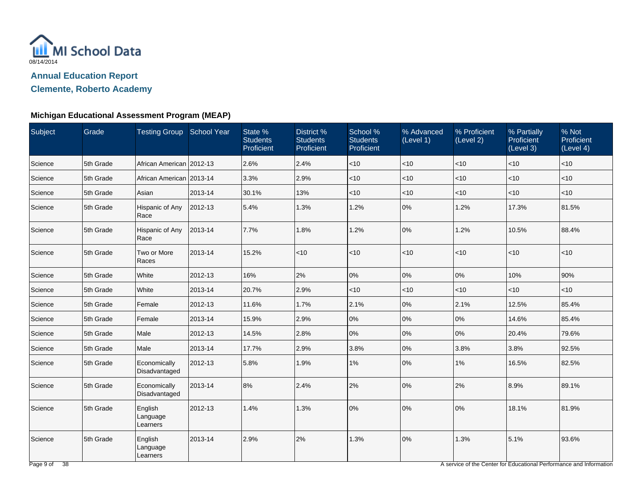

**Clemente, Roberto Academy**

### **Michigan Educational Assessment Program (MEAP)**

| Subject | Grade     | Testing Group School Year       |         | State %<br><b>Students</b><br>Proficient | District %<br><b>Students</b><br>Proficient | School %<br><b>Students</b><br>Proficient | % Advanced<br>(Level 1) | % Proficient<br>(Level 2) | % Partially<br>Proficient<br>(Level 3) | % Not<br>Proficient<br>(Level 4) |
|---------|-----------|---------------------------------|---------|------------------------------------------|---------------------------------------------|-------------------------------------------|-------------------------|---------------------------|----------------------------------------|----------------------------------|
| Science | 5th Grade | African American 2012-13        |         | 2.6%                                     | 2.4%                                        | < 10                                      | $<$ 10                  | < 10                      | $ $ < 10                               | $ $ < 10                         |
| Science | 5th Grade | African American 2013-14        |         | 3.3%                                     | 2.9%                                        | $<$ 10                                    | < 10                    | <10                       | $<$ 10                                 | $ $ < 10                         |
| Science | 5th Grade | Asian                           | 2013-14 | 30.1%                                    | 13%                                         | <10                                       | $<$ 10                  | <10                       | $ $ < 10                               | $ $ < 10                         |
| Science | 5th Grade | Hispanic of Any<br>Race         | 2012-13 | 5.4%                                     | 1.3%                                        | 1.2%                                      | 0%                      | 1.2%                      | 17.3%                                  | 81.5%                            |
| Science | 5th Grade | Hispanic of Any<br>Race         | 2013-14 | 7.7%                                     | 1.8%                                        | 1.2%                                      | 0%                      | 1.2%                      | 10.5%                                  | 88.4%                            |
| Science | 5th Grade | Two or More<br>Races            | 2013-14 | 15.2%                                    | < 10                                        | $<$ 10                                    | < 10                    | <10                       | < 10                                   | $ $ < 10                         |
| Science | 5th Grade | White                           | 2012-13 | 16%                                      | 2%                                          | 0%                                        | 0%                      | 0%                        | 10%                                    | 90%                              |
| Science | 5th Grade | White                           | 2013-14 | 20.7%                                    | 2.9%                                        | $<$ 10                                    | $ $ < 10                | <10                       | $ $ < 10                               | $ $ < 10                         |
| Science | 5th Grade | Female                          | 2012-13 | 11.6%                                    | 1.7%                                        | 2.1%                                      | 0%                      | 2.1%                      | 12.5%                                  | 85.4%                            |
| Science | 5th Grade | Female                          | 2013-14 | 15.9%                                    | 2.9%                                        | 0%                                        | 0%                      | 0%                        | 14.6%                                  | 85.4%                            |
| Science | 5th Grade | Male                            | 2012-13 | 14.5%                                    | 2.8%                                        | 0%                                        | 0%                      | 0%                        | 20.4%                                  | 79.6%                            |
| Science | 5th Grade | Male                            | 2013-14 | 17.7%                                    | 2.9%                                        | 3.8%                                      | 0%                      | 3.8%                      | 3.8%                                   | 92.5%                            |
| Science | 5th Grade | Economically<br>Disadvantaged   | 2012-13 | 5.8%                                     | 1.9%                                        | $1\%$                                     | 0%                      | $1\%$                     | 16.5%                                  | 82.5%                            |
| Science | 5th Grade | Economically<br>Disadvantaged   | 2013-14 | 8%                                       | 2.4%                                        | 2%                                        | 0%                      | 2%                        | 8.9%                                   | 89.1%                            |
| Science | 5th Grade | English<br>Language<br>Learners | 2012-13 | 1.4%                                     | 1.3%                                        | 0%                                        | 0%                      | 0%                        | 18.1%                                  | 81.9%                            |
| Science | 5th Grade | English<br>Language<br>Learners | 2013-14 | 2.9%                                     | 2%                                          | 1.3%                                      | 0%                      | 1.3%                      | 5.1%                                   | 93.6%                            |

A service of the Center for Educational Performance and Information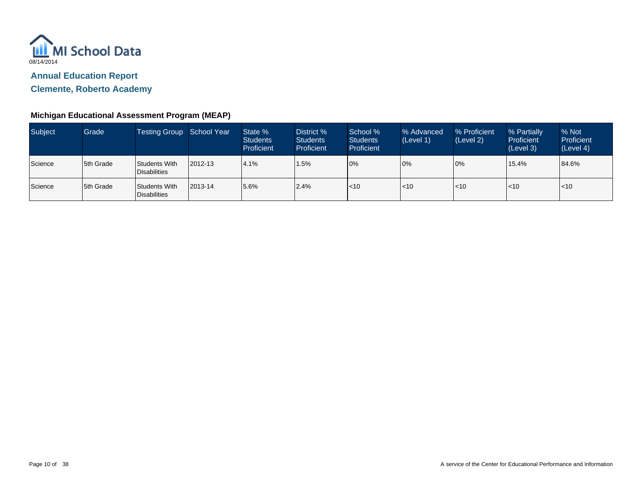

**Clemente, Roberto Academy**

| Subject | Grade      | Testing Group School Year       |         | State %<br><b>Students</b><br>Proficient | District %<br><b>Students</b><br><b>Proficient</b> | School %<br><b>Students</b><br><b>Proficient</b> | % Advanced<br>(Level 1) | % Proficient<br>(Level 2) | % Partially<br>Proficient<br>(Level 3) | % Not<br>Proficient<br>(Level 4) |
|---------|------------|---------------------------------|---------|------------------------------------------|----------------------------------------------------|--------------------------------------------------|-------------------------|---------------------------|----------------------------------------|----------------------------------|
| Science | 5th Grade  | Students With<br>l Disabilities | 2012-13 | 4.1%                                     | 1.5%                                               | 10%                                              | 0%                      | 0%                        | 15.4%                                  | 84.6%                            |
| Science | 15th Grade | Students With<br>l Disabilities | 2013-14 | 5.6%                                     | 2.4%                                               | < 10                                             | $ $ < 10                | $<$ 10                    | $\leq 10$                              | l<10                             |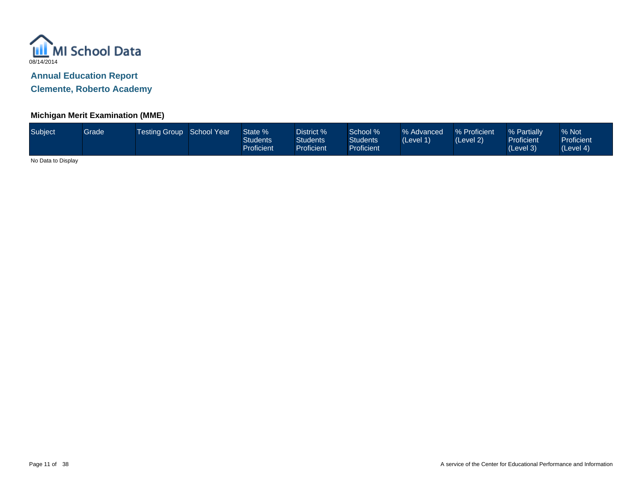

**Clemente, Roberto Academy**

# **Michigan Merit Examination (MME)**

| Subject | Grade | Testing Group School Year |  | State %<br><b>Students</b><br>Proficient | District %<br><b>Students</b><br>Proficient | School %<br><b>Students</b><br>Proficient <sup>1</sup> | % Advanced<br>(Level 1) | % Proficient<br>(Level 2) | 8 Partially<br><b>Proficient</b><br>(Level 3) | % Not<br><b>Proficient</b><br>(Level 4) |
|---------|-------|---------------------------|--|------------------------------------------|---------------------------------------------|--------------------------------------------------------|-------------------------|---------------------------|-----------------------------------------------|-----------------------------------------|
|---------|-------|---------------------------|--|------------------------------------------|---------------------------------------------|--------------------------------------------------------|-------------------------|---------------------------|-----------------------------------------------|-----------------------------------------|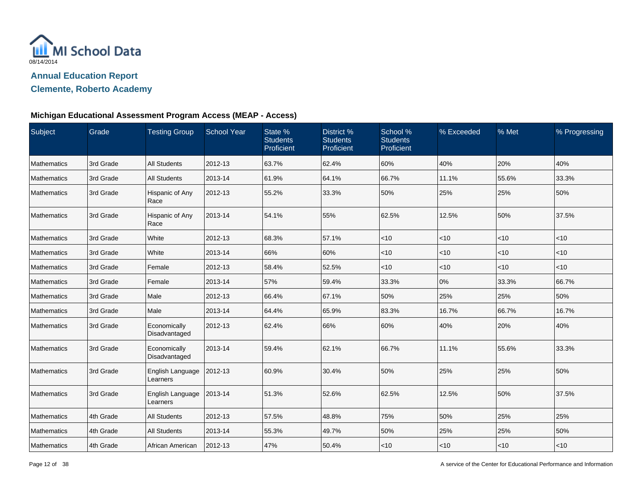

## **Clemente, Roberto Academy**

#### **Michigan Educational Assessment Program Access (MEAP - Access)**

| Subject     | Grade     | <b>Testing Group</b>          | <b>School Year</b> | State %<br><b>Students</b><br>Proficient | District %<br><b>Students</b><br>Proficient | School %<br><b>Students</b><br>Proficient | % Exceeded | % Met  | % Progressing |
|-------------|-----------|-------------------------------|--------------------|------------------------------------------|---------------------------------------------|-------------------------------------------|------------|--------|---------------|
| Mathematics | 3rd Grade | <b>All Students</b>           | 2012-13            | 63.7%                                    | 62.4%                                       | 60%                                       | 40%        | 20%    | 40%           |
| Mathematics | 3rd Grade | All Students                  | 2013-14            | 61.9%                                    | 64.1%                                       | 66.7%                                     | 11.1%      | 55.6%  | 33.3%         |
| Mathematics | 3rd Grade | Hispanic of Any<br>Race       | 2012-13            | 55.2%                                    | 33.3%                                       | 50%                                       | 25%        | 25%    | 50%           |
| Mathematics | 3rd Grade | Hispanic of Any<br>Race       | 2013-14            | 54.1%                                    | 55%                                         | 62.5%                                     | 12.5%      | 50%    | 37.5%         |
| Mathematics | 3rd Grade | White                         | 2012-13            | 68.3%                                    | 57.1%                                       | < 10                                      | <10        | < 10   | $<$ 10        |
| Mathematics | 3rd Grade | White                         | 2013-14            | 66%                                      | 60%                                         | $<$ 10                                    | $<$ 10     | $<$ 10 | $<$ 10        |
| Mathematics | 3rd Grade | Female                        | 2012-13            | 58.4%                                    | 52.5%                                       | $ $ < 10                                  | $<$ 10     | $<$ 10 | $<$ 10        |
| Mathematics | 3rd Grade | Female                        | 2013-14            | 57%                                      | 59.4%                                       | 33.3%                                     | 0%         | 33.3%  | 66.7%         |
| Mathematics | 3rd Grade | Male                          | 2012-13            | 66.4%                                    | 67.1%                                       | 50%                                       | 25%        | 25%    | 50%           |
| Mathematics | 3rd Grade | Male                          | 2013-14            | 64.4%                                    | 65.9%                                       | 83.3%                                     | 16.7%      | 66.7%  | 16.7%         |
| Mathematics | 3rd Grade | Economically<br>Disadvantaged | 2012-13            | 62.4%                                    | 66%                                         | 60%                                       | 40%        | 20%    | 40%           |
| Mathematics | 3rd Grade | Economically<br>Disadvantaged | 2013-14            | 59.4%                                    | 62.1%                                       | 66.7%                                     | 11.1%      | 55.6%  | 33.3%         |
| Mathematics | 3rd Grade | English Language<br>Learners  | 2012-13            | 60.9%                                    | 30.4%                                       | 50%                                       | 25%        | 25%    | 50%           |
| Mathematics | 3rd Grade | English Language<br>Learners  | 2013-14            | 51.3%                                    | 52.6%                                       | 62.5%                                     | 12.5%      | 50%    | 37.5%         |
| Mathematics | 4th Grade | All Students                  | 2012-13            | 57.5%                                    | 48.8%                                       | 75%                                       | 50%        | 25%    | 25%           |
| Mathematics | 4th Grade | <b>All Students</b>           | 2013-14            | 55.3%                                    | 49.7%                                       | 50%                                       | 25%        | 25%    | 50%           |
| Mathematics | 4th Grade | African American              | 2012-13            | 47%                                      | 50.4%                                       | $<$ 10                                    | $<$ 10     | $<$ 10 | $<$ 10        |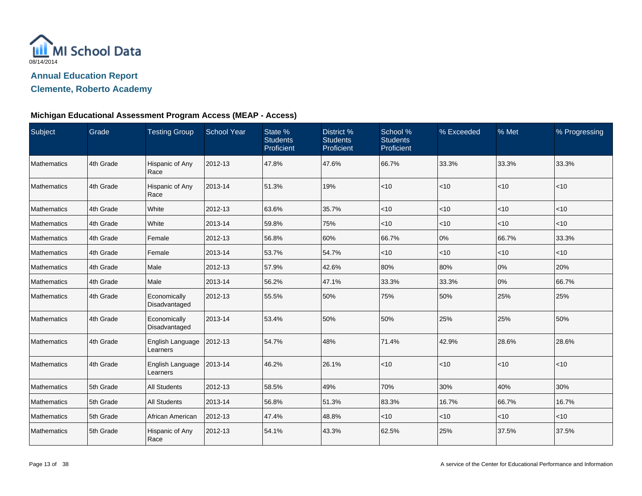

## **Clemente, Roberto Academy**

### **Michigan Educational Assessment Program Access (MEAP - Access)**

| Subject            | Grade     | <b>Testing Group</b>          | <b>School Year</b> | State %<br><b>Students</b><br>Proficient | District %<br><b>Students</b><br>Proficient | School %<br><b>Students</b><br>Proficient | % Exceeded | % Met  | % Progressing |
|--------------------|-----------|-------------------------------|--------------------|------------------------------------------|---------------------------------------------|-------------------------------------------|------------|--------|---------------|
| Mathematics        | 4th Grade | Hispanic of Any<br>Race       | 2012-13            | 47.8%                                    | 47.6%                                       | 66.7%                                     | 33.3%      | 33.3%  | 33.3%         |
| Mathematics        | 4th Grade | Hispanic of Any<br>Race       | 2013-14            | 51.3%                                    | 19%                                         | < 10                                      | $<$ 10     | ~10    | $<$ 10        |
| Mathematics        | 4th Grade | White                         | 2012-13            | 63.6%                                    | 35.7%                                       | $<$ 10                                    | $<$ 10     | < 10   | $<10$         |
| <b>Mathematics</b> | 4th Grade | White                         | 2013-14            | 59.8%                                    | 75%                                         | $<$ 10                                    | $<$ 10     | $<$ 10 | $<$ 10        |
| Mathematics        | 4th Grade | Female                        | 2012-13            | 56.8%                                    | 60%                                         | 66.7%                                     | 0%         | 66.7%  | 33.3%         |
| Mathematics        | 4th Grade | Female                        | 2013-14            | 53.7%                                    | 54.7%                                       | $<$ 10                                    | $<$ 10     | < 10   | $<$ 10        |
| <b>Mathematics</b> | 4th Grade | Male                          | 2012-13            | 57.9%                                    | 42.6%                                       | 80%                                       | 80%        | 0%     | 20%           |
| Mathematics        | 4th Grade | Male                          | 2013-14            | 56.2%                                    | 47.1%                                       | 33.3%                                     | 33.3%      | 0%     | 66.7%         |
| Mathematics        | 4th Grade | Economically<br>Disadvantaged | 2012-13            | 55.5%                                    | 50%                                         | 75%                                       | 50%        | 25%    | 25%           |
| Mathematics        | 4th Grade | Economically<br>Disadvantaged | 2013-14            | 53.4%                                    | 50%                                         | 50%                                       | 25%        | 25%    | 50%           |
| Mathematics        | 4th Grade | English Language<br>Learners  | 2012-13            | 54.7%                                    | 48%                                         | 71.4%                                     | 42.9%      | 28.6%  | 28.6%         |
| Mathematics        | 4th Grade | English Language<br>Learners  | 2013-14            | 46.2%                                    | 26.1%                                       | <10                                       | $<$ 10     | < 10   | < 10          |
| Mathematics        | 5th Grade | <b>All Students</b>           | 2012-13            | 58.5%                                    | 49%                                         | 70%                                       | 30%        | 40%    | 30%           |
| Mathematics        | 5th Grade | <b>All Students</b>           | 2013-14            | 56.8%                                    | 51.3%                                       | 83.3%                                     | 16.7%      | 66.7%  | 16.7%         |
| Mathematics        | 5th Grade | African American              | 2012-13            | 47.4%                                    | 48.8%                                       | < 10                                      | $<$ 10     | $<$ 10 | $<$ 10        |
| Mathematics        | 5th Grade | Hispanic of Any<br>Race       | 2012-13            | 54.1%                                    | 43.3%                                       | 62.5%                                     | 25%        | 37.5%  | 37.5%         |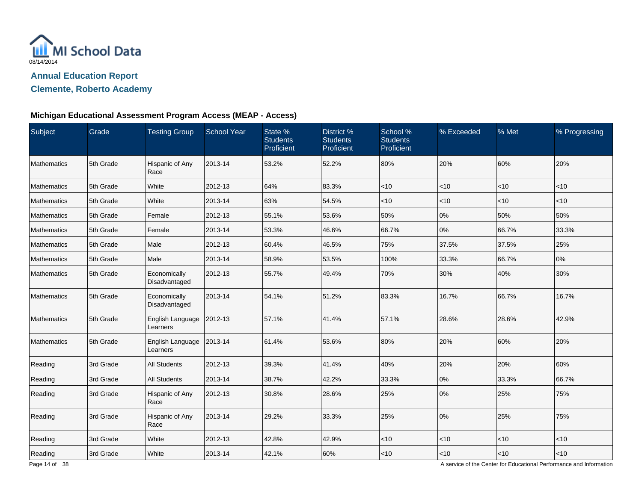

## **Clemente, Roberto Academy**

### **Michigan Educational Assessment Program Access (MEAP - Access)**

| Subject            | Grade     | <b>Testing Group</b>          | <b>School Year</b> | State %<br><b>Students</b><br>Proficient | District %<br><b>Students</b><br>Proficient | School %<br><b>Students</b><br>Proficient | % Exceeded | % Met | % Progressing |
|--------------------|-----------|-------------------------------|--------------------|------------------------------------------|---------------------------------------------|-------------------------------------------|------------|-------|---------------|
| Mathematics        | 5th Grade | Hispanic of Any<br>Race       | 2013-14            | 53.2%                                    | 52.2%                                       | 80%                                       | 20%        | 60%   | 20%           |
| Mathematics        | 5th Grade | White                         | 2012-13            | 64%                                      | 83.3%                                       | $<$ 10                                    | $<$ 10     | <10   | < 10          |
| <b>Mathematics</b> | 5th Grade | White                         | 2013-14            | 63%                                      | 54.5%                                       | $<$ 10                                    | $<$ 10     | < 10  | $<$ 10        |
| <b>Mathematics</b> | 5th Grade | Female                        | 2012-13            | 55.1%                                    | 53.6%                                       | 50%                                       | 0%         | 50%   | 50%           |
| Mathematics        | 5th Grade | Female                        | 2013-14            | 53.3%                                    | 46.6%                                       | 66.7%                                     | 0%         | 66.7% | 33.3%         |
| Mathematics        | 5th Grade | Male                          | 2012-13            | 60.4%                                    | 46.5%                                       | 75%                                       | 37.5%      | 37.5% | 25%           |
| Mathematics        | 5th Grade | Male                          | 2013-14            | 58.9%                                    | 53.5%                                       | 100%                                      | 33.3%      | 66.7% | 0%            |
| Mathematics        | 5th Grade | Economically<br>Disadvantaged | 2012-13            | 55.7%                                    | 49.4%                                       | 70%                                       | 30%        | 40%   | 30%           |
| Mathematics        | 5th Grade | Economically<br>Disadvantaged | 2013-14            | 54.1%                                    | 51.2%                                       | 83.3%                                     | 16.7%      | 66.7% | 16.7%         |
| Mathematics        | 5th Grade | English Language<br>Learners  | 2012-13            | 57.1%                                    | 41.4%                                       | 57.1%                                     | 28.6%      | 28.6% | 42.9%         |
| Mathematics        | 5th Grade | English Language<br>Learners  | 2013-14            | 61.4%                                    | 53.6%                                       | 80%                                       | 20%        | 60%   | 20%           |
| Reading            | 3rd Grade | <b>All Students</b>           | 2012-13            | 39.3%                                    | 41.4%                                       | 40%                                       | 20%        | 20%   | 60%           |
| Reading            | 3rd Grade | <b>All Students</b>           | 2013-14            | 38.7%                                    | 42.2%                                       | 33.3%                                     | 0%         | 33.3% | 66.7%         |
| Reading            | 3rd Grade | Hispanic of Any<br>Race       | 2012-13            | 30.8%                                    | 28.6%                                       | 25%                                       | 0%         | 25%   | 75%           |
| Reading            | 3rd Grade | Hispanic of Any<br>Race       | 2013-14            | 29.2%                                    | 33.3%                                       | 25%                                       | 0%         | 25%   | 75%           |
| Reading            | 3rd Grade | White                         | 2012-13            | 42.8%                                    | 42.9%                                       | $<$ 10                                    | $<$ 10     | $<10$ | $<10$         |
| Reading            | 3rd Grade | White                         | 2013-14            | 42.1%                                    | 60%                                         | ~10                                       | < 10       | < 10  | $<10$         |

A service of the Center for Educational Performance and Information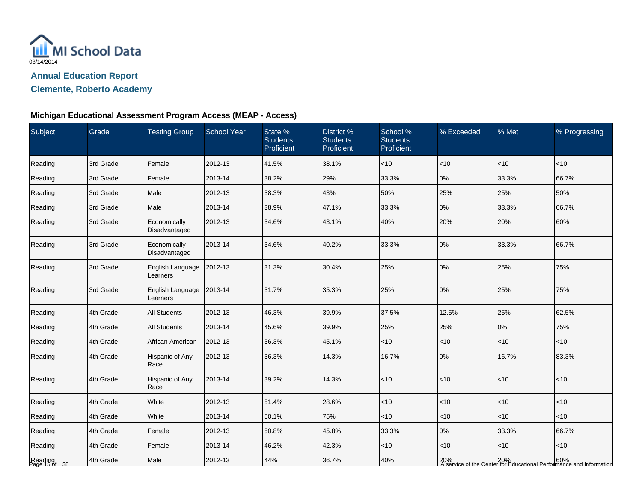

**Clemente, Roberto Academy**

# **Michigan Educational Assessment Program Access (MEAP - Access)**

| Subject                  | Grade     | <b>Testing Group</b>          | <b>School Year</b> | State %<br><b>Students</b><br>Proficient | District %<br><b>Students</b><br>Proficient | School %<br><b>Students</b><br>Proficient | % Exceeded | % Met | % Progressing                                                                |
|--------------------------|-----------|-------------------------------|--------------------|------------------------------------------|---------------------------------------------|-------------------------------------------|------------|-------|------------------------------------------------------------------------------|
| Reading                  | 3rd Grade | Female                        | 2012-13            | 41.5%                                    | 38.1%                                       | $ $ < 10                                  | <10        | <10   | $<$ 10                                                                       |
| Reading                  | 3rd Grade | Female                        | 2013-14            | 38.2%                                    | 29%                                         | 33.3%                                     | 0%         | 33.3% | 66.7%                                                                        |
| Reading                  | 3rd Grade | Male                          | 2012-13            | 38.3%                                    | 43%                                         | 50%                                       | 25%        | 25%   | 50%                                                                          |
| Reading                  | 3rd Grade | Male                          | 2013-14            | 38.9%                                    | 47.1%                                       | 33.3%                                     | 0%         | 33.3% | 66.7%                                                                        |
| Reading                  | 3rd Grade | Economically<br>Disadvantaged | 2012-13            | 34.6%                                    | 43.1%                                       | 40%                                       | 20%        | 20%   | 60%                                                                          |
| Reading                  | 3rd Grade | Economically<br>Disadvantaged | 2013-14            | 34.6%                                    | 40.2%                                       | 33.3%                                     | 0%         | 33.3% | 66.7%                                                                        |
| Reading                  | 3rd Grade | English Language<br>Learners  | 2012-13            | 31.3%                                    | 30.4%                                       | 25%                                       | 0%         | 25%   | 75%                                                                          |
| Reading                  | 3rd Grade | English Language<br>Learners  | 2013-14            | 31.7%                                    | 35.3%                                       | 25%                                       | 0%         | 25%   | 75%                                                                          |
| Reading                  | 4th Grade | <b>All Students</b>           | 2012-13            | 46.3%                                    | 39.9%                                       | 37.5%                                     | 12.5%      | 25%   | 62.5%                                                                        |
| Reading                  | 4th Grade | <b>All Students</b>           | 2013-14            | 45.6%                                    | 39.9%                                       | 25%                                       | 25%        | 0%    | 75%                                                                          |
| Reading                  | 4th Grade | African American              | 2012-13            | 36.3%                                    | 45.1%                                       | $<$ 10                                    | $<$ 10     | < 10  | $<$ 10                                                                       |
| Reading                  | 4th Grade | Hispanic of Any<br>Race       | 2012-13            | 36.3%                                    | 14.3%                                       | 16.7%                                     | 0%         | 16.7% | 83.3%                                                                        |
| Reading                  | 4th Grade | Hispanic of Any<br>Race       | 2013-14            | 39.2%                                    | 14.3%                                       | $<$ 10                                    | <10        | <10   | < 10                                                                         |
| Reading                  | 4th Grade | White                         | 2012-13            | 51.4%                                    | 28.6%                                       | $<$ 10                                    | <10        | <10   | <10                                                                          |
| Reading                  | 4th Grade | White                         | 2013-14            | 50.1%                                    | 75%                                         | $ $ < 10                                  | <10        | <10   | $<$ 10                                                                       |
| Reading                  | 4th Grade | Female                        | 2012-13            | 50.8%                                    | 45.8%                                       | 33.3%                                     | 0%         | 33.3% | 66.7%                                                                        |
| Reading                  | 4th Grade | Female                        | 2013-14            | 46.2%                                    | 42.3%                                       | $<$ 10                                    | $<$ 10     | <10   | $<$ 10                                                                       |
| Reading<br>Page 15 of 38 | 4th Grade | Male                          | 2012-13            | 44%                                      | 36.7%                                       | 40%                                       |            |       | 20%<br>  A service of the Center for Educational Performance and Information |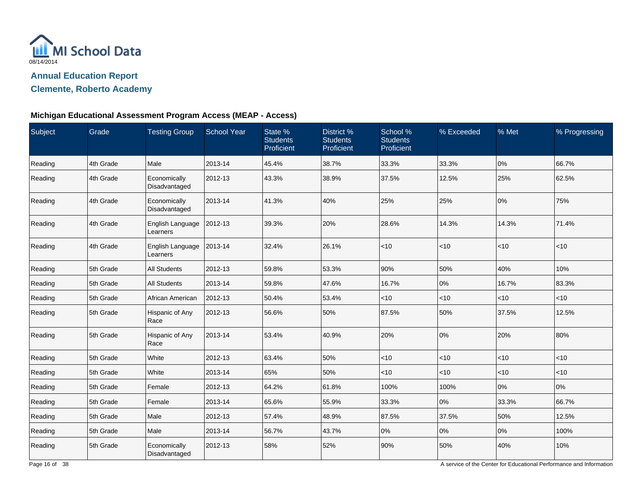

## **Clemente, Roberto Academy**

### **Michigan Educational Assessment Program Access (MEAP - Access)**

| Subject | Grade     | <b>Testing Group</b>          | <b>School Year</b> | State %<br><b>Students</b><br>Proficient | District %<br><b>Students</b><br>Proficient | School %<br><b>Students</b><br>Proficient | % Exceeded | % Met     | % Progressing |
|---------|-----------|-------------------------------|--------------------|------------------------------------------|---------------------------------------------|-------------------------------------------|------------|-----------|---------------|
| Reading | 4th Grade | Male                          | 2013-14            | 45.4%                                    | 38.7%                                       | 33.3%                                     | 33.3%      | 0%        | 66.7%         |
| Reading | 4th Grade | Economically<br>Disadvantaged | 2012-13            | 43.3%                                    | 38.9%                                       | 37.5%                                     | 12.5%      | 25%       | 62.5%         |
| Reading | 4th Grade | Economically<br>Disadvantaged | 2013-14            | 41.3%                                    | 40%                                         | 25%                                       | 25%        | 0%        | 75%           |
| Reading | 4th Grade | English Language<br>Learners  | 2012-13            | 39.3%                                    | 20%                                         | 28.6%                                     | 14.3%      | 14.3%     | 71.4%         |
| Reading | 4th Grade | English Language<br>Learners  | 2013-14            | 32.4%                                    | 26.1%                                       | < 10                                      | $<$ 10     | < 10      | $<$ 10        |
| Reading | 5th Grade | <b>All Students</b>           | 2012-13            | 59.8%                                    | 53.3%                                       | 90%                                       | 50%        | 40%       | 10%           |
| Reading | 5th Grade | <b>All Students</b>           | 2013-14            | 59.8%                                    | 47.6%                                       | 16.7%                                     | 0%         | 16.7%     | 83.3%         |
| Reading | 5th Grade | African American              | 2012-13            | 50.4%                                    | 53.4%                                       | $ $ < 10                                  | <10        | $<10$     | $<$ 10        |
| Reading | 5th Grade | Hispanic of Any<br>Race       | 2012-13            | 56.6%                                    | 50%                                         | 87.5%                                     | 50%        | 37.5%     | 12.5%         |
| Reading | 5th Grade | Hispanic of Any<br>Race       | 2013-14            | 53.4%                                    | 40.9%                                       | 20%                                       | 0%         | 20%       | 80%           |
| Reading | 5th Grade | White                         | 2012-13            | 63.4%                                    | 50%                                         | $ $ < 10                                  | $<$ 10     | $<$ 10    | $<$ 10        |
| Reading | 5th Grade | White                         | 2013-14            | 65%                                      | 50%                                         | $<$ 10                                    | $<$ 10     | $\leq 10$ | < 10          |
| Reading | 5th Grade | Female                        | 2012-13            | 64.2%                                    | 61.8%                                       | 100%                                      | 100%       | 0%        | 0%            |
| Reading | 5th Grade | Female                        | 2013-14            | 65.6%                                    | 55.9%                                       | 33.3%                                     | 0%         | 33.3%     | 66.7%         |
| Reading | 5th Grade | Male                          | 2012-13            | 57.4%                                    | 48.9%                                       | 87.5%                                     | 37.5%      | 50%       | 12.5%         |
| Reading | 5th Grade | Male                          | 2013-14            | 56.7%                                    | 43.7%                                       | 0%                                        | 0%         | 0%        | 100%          |
| Reading | 5th Grade | Economically<br>Disadvantaged | 2012-13            | 58%                                      | 52%                                         | 90%                                       | 50%        | 40%       | 10%           |

A service of the Center for Educational Performance and Information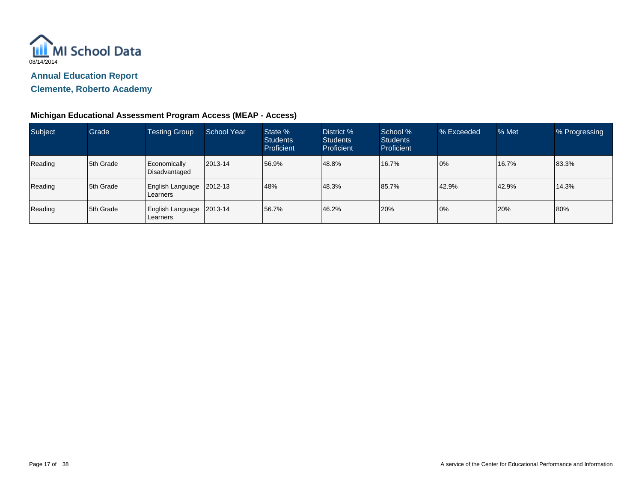

**Clemente, Roberto Academy**

### **Michigan Educational Assessment Program Access (MEAP - Access)**

| Subject | Grade       | <b>Testing Group</b>                     | <b>School Year</b> | State %<br><b>Students</b><br>Proficient | District %<br><b>Students</b><br><b>Proficient</b> | School %<br><b>Students</b><br>Proficient | % Exceeded | % Met | % Progressing |
|---------|-------------|------------------------------------------|--------------------|------------------------------------------|----------------------------------------------------|-------------------------------------------|------------|-------|---------------|
| Reading | 5th Grade   | Economically<br>Disadvantaged            | 2013-14            | 56.9%                                    | 48.8%                                              | 16.7%                                     | 0%         | 16.7% | 83.3%         |
| Reading | 5th Grade   | <b>English Language</b><br>l Learners    | 2012-13            | 48%                                      | 48.3%                                              | 85.7%                                     | 42.9%      | 42.9% | 14.3%         |
| Reading | l 5th Grade | English Language   2013-14<br>l Learners |                    | 56.7%                                    | 46.2%                                              | 20%                                       | 0%         | 20%   | 80%           |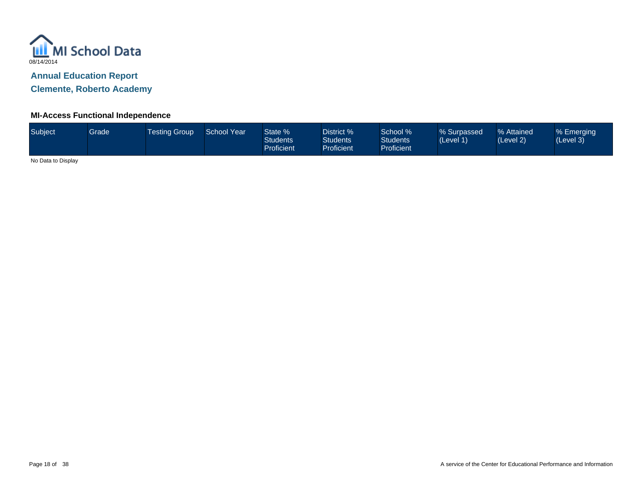

**Clemente, Roberto Academy**

#### **MI-Access Functional Independence**

| Subject <sup>1</sup> | <b>Grade</b> | Testing Group ' | School Year | State %<br><b>Students</b><br><b>Proficient</b> | District %<br><b>Students</b><br>Proficient | School %<br><b>Students</b><br><b>Proficient</b> | % Surpassed<br>(Level 1) | % Attained<br>(Level 2) | % Emerging<br>(Level 3) |
|----------------------|--------------|-----------------|-------------|-------------------------------------------------|---------------------------------------------|--------------------------------------------------|--------------------------|-------------------------|-------------------------|
| .                    |              |                 |             |                                                 |                                             |                                                  |                          |                         |                         |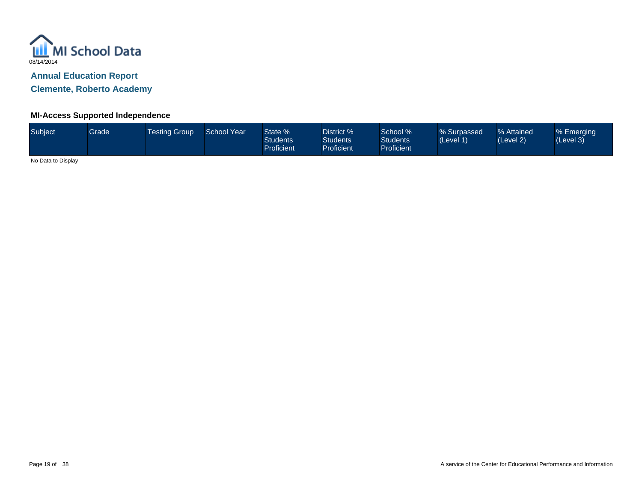

**Clemente, Roberto Academy**

#### **MI-Access Supported Independence**

| Subject | Grade | Testing Group ' | <b>School Year</b> | State %<br><b>Students</b><br><b>Proficient</b> | District %<br><b>Students</b><br><b>Proficient</b> | School %<br><b>Students</b><br><b>Proficient</b> | % Surpassed<br>(Level 1) | % Attained<br>(Level 2) | % Emerging<br>(Level 3) |
|---------|-------|-----------------|--------------------|-------------------------------------------------|----------------------------------------------------|--------------------------------------------------|--------------------------|-------------------------|-------------------------|
|         |       |                 |                    |                                                 |                                                    |                                                  |                          |                         |                         |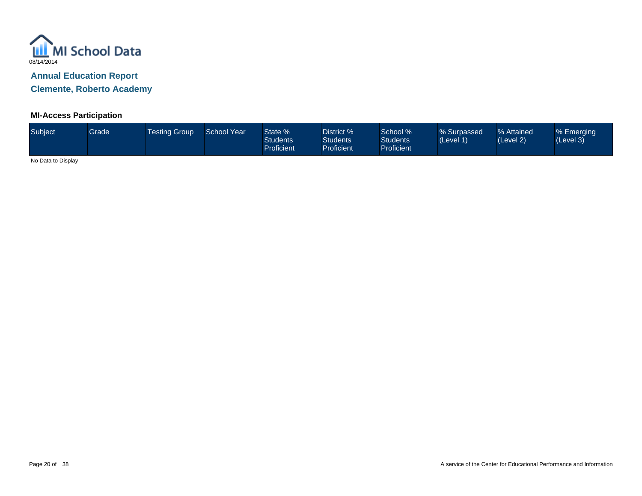

**Clemente, Roberto Academy**

#### **MI-Access Participation**

| Subject | <b>Grade</b> | <b>Testing Group</b> | School Year | State %<br><b>Students</b><br><b>Proficient</b> | District %<br><b>Students</b><br>Proficient | School %<br><b>Students</b><br><b>Proficient</b> | % Surpassed<br>(Level 1) | % Attained<br>(Level 2) | % Emerging<br>(Level 3) |
|---------|--------------|----------------------|-------------|-------------------------------------------------|---------------------------------------------|--------------------------------------------------|--------------------------|-------------------------|-------------------------|
| .       |              |                      |             |                                                 |                                             |                                                  |                          |                         |                         |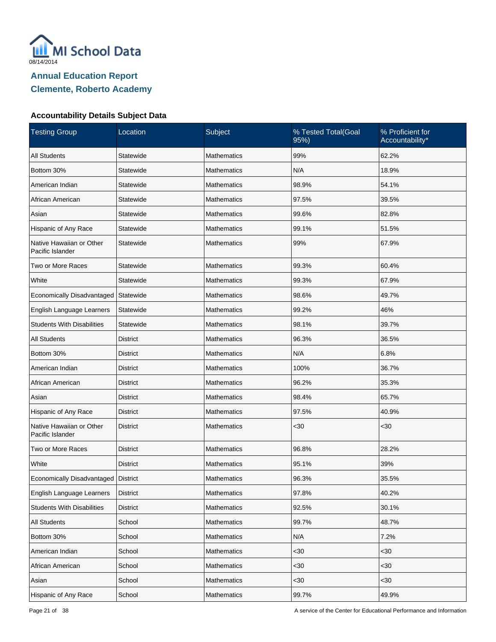

| <b>Testing Group</b>                         | Location        | Subject            | % Tested Total(Goal<br>95%) | % Proficient for<br>Accountability* |
|----------------------------------------------|-----------------|--------------------|-----------------------------|-------------------------------------|
| <b>All Students</b>                          | Statewide       | <b>Mathematics</b> | 99%                         | 62.2%                               |
| Bottom 30%                                   | Statewide       | <b>Mathematics</b> | N/A                         | 18.9%                               |
| American Indian                              | Statewide       | <b>Mathematics</b> | 98.9%                       | 54.1%                               |
| African American                             | Statewide       | <b>Mathematics</b> | 97.5%                       | 39.5%                               |
| Asian                                        | Statewide       | <b>Mathematics</b> | 99.6%                       | 82.8%                               |
| Hispanic of Any Race                         | Statewide       | <b>Mathematics</b> | 99.1%                       | 51.5%                               |
| Native Hawaiian or Other<br>Pacific Islander | Statewide       | <b>Mathematics</b> | 99%                         | 67.9%                               |
| Two or More Races                            | Statewide       | <b>Mathematics</b> | 99.3%                       | 60.4%                               |
| White                                        | Statewide       | <b>Mathematics</b> | 99.3%                       | 67.9%                               |
| Economically Disadvantaged                   | Statewide       | <b>Mathematics</b> | 98.6%                       | 49.7%                               |
| English Language Learners                    | Statewide       | <b>Mathematics</b> | 99.2%                       | 46%                                 |
| <b>Students With Disabilities</b>            | Statewide       | <b>Mathematics</b> | 98.1%                       | 39.7%                               |
| <b>All Students</b>                          | <b>District</b> | <b>Mathematics</b> | 96.3%                       | 36.5%                               |
| Bottom 30%                                   | District        | <b>Mathematics</b> | N/A                         | 6.8%                                |
| American Indian                              | <b>District</b> | <b>Mathematics</b> | 100%                        | 36.7%                               |
| African American                             | District        | <b>Mathematics</b> | 96.2%                       | 35.3%                               |
| Asian                                        | <b>District</b> | <b>Mathematics</b> | 98.4%                       | 65.7%                               |
| Hispanic of Any Race                         | District        | <b>Mathematics</b> | 97.5%                       | 40.9%                               |
| Native Hawaiian or Other<br>Pacific Islander | <b>District</b> | <b>Mathematics</b> | <30                         | $30$                                |
| Two or More Races                            | <b>District</b> | <b>Mathematics</b> | 96.8%                       | 28.2%                               |
| White                                        | <b>District</b> | <b>Mathematics</b> | 95.1%                       | 39%                                 |
| Economically Disadvantaged   District        |                 | Mathematics        | 96.3%                       | 35.5%                               |
| English Language Learners                    | <b>District</b> | Mathematics        | 97.8%                       | 40.2%                               |
| <b>Students With Disabilities</b>            | <b>District</b> | Mathematics        | 92.5%                       | 30.1%                               |
| <b>All Students</b>                          | School          | <b>Mathematics</b> | 99.7%                       | 48.7%                               |
| Bottom 30%                                   | School          | Mathematics        | N/A                         | 7.2%                                |
| American Indian                              | School          | <b>Mathematics</b> | $30$                        | <30                                 |
| African American                             | School          | Mathematics        | $30$                        | <30                                 |
| Asian                                        | School          | Mathematics        | $30$                        | <30                                 |
| Hispanic of Any Race                         | School          | Mathematics        | 99.7%                       | 49.9%                               |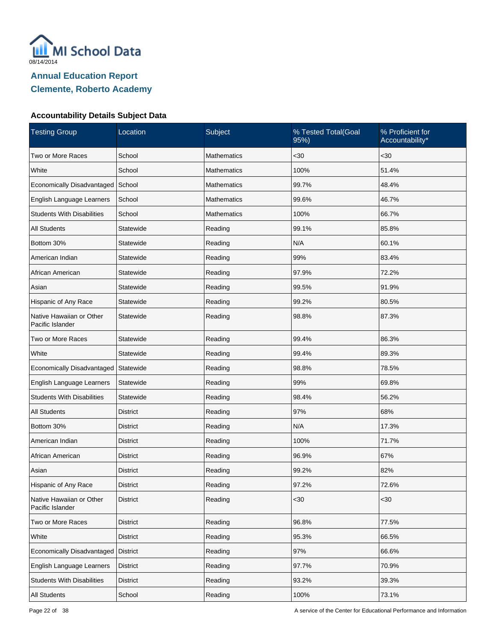

| <b>Testing Group</b>                         | Location        | Subject            | % Tested Total(Goal<br>95%) | % Proficient for<br>Accountability* |
|----------------------------------------------|-----------------|--------------------|-----------------------------|-------------------------------------|
| Two or More Races                            | School          | <b>Mathematics</b> | <30                         | $30$                                |
| White                                        | School          | <b>Mathematics</b> | 100%                        | 51.4%                               |
| Economically Disadvantaged                   | School          | <b>Mathematics</b> | 99.7%                       | 48.4%                               |
| English Language Learners                    | School          | <b>Mathematics</b> | 99.6%                       | 46.7%                               |
| <b>Students With Disabilities</b>            | School          | <b>Mathematics</b> | 100%                        | 66.7%                               |
| <b>All Students</b>                          | Statewide       | Reading            | 99.1%                       | 85.8%                               |
| Bottom 30%                                   | Statewide       | Reading            | N/A                         | 60.1%                               |
| American Indian                              | Statewide       | Reading            | 99%                         | 83.4%                               |
| African American                             | Statewide       | Reading            | 97.9%                       | 72.2%                               |
| Asian                                        | Statewide       | Reading            | 99.5%                       | 91.9%                               |
| Hispanic of Any Race                         | Statewide       | Reading            | 99.2%                       | 80.5%                               |
| Native Hawaiian or Other<br>Pacific Islander | Statewide       | Reading            | 98.8%                       | 87.3%                               |
| Two or More Races                            | Statewide       | Reading            | 99.4%                       | 86.3%                               |
| White                                        | Statewide       | Reading            | 99.4%                       | 89.3%                               |
| <b>Economically Disadvantaged</b>            | Statewide       | Reading            | 98.8%                       | 78.5%                               |
| English Language Learners                    | Statewide       | Reading            | 99%                         | 69.8%                               |
| <b>Students With Disabilities</b>            | Statewide       | Reading            | 98.4%                       | 56.2%                               |
| <b>All Students</b>                          | District        | Reading            | 97%                         | 68%                                 |
| Bottom 30%                                   | District        | Reading            | N/A                         | 17.3%                               |
| American Indian                              | <b>District</b> | Reading            | 100%                        | 71.7%                               |
| African American                             | <b>District</b> | Reading            | 96.9%                       | 67%                                 |
| Asian                                        | District        | Reading            | 99.2%                       | 82%                                 |
| Hispanic of Any Race                         | <b>District</b> | Reading            | 97.2%                       | 72.6%                               |
| Native Hawaiian or Other<br>Pacific Islander | <b>District</b> | Reading            | $30$                        | $30$                                |
| Two or More Races                            | <b>District</b> | Reading            | 96.8%                       | 77.5%                               |
| White                                        | <b>District</b> | Reading            | 95.3%                       | 66.5%                               |
| Economically Disadvantaged                   | District        | Reading            | 97%                         | 66.6%                               |
| English Language Learners                    | <b>District</b> | Reading            | 97.7%                       | 70.9%                               |
| <b>Students With Disabilities</b>            | <b>District</b> | Reading            | 93.2%                       | 39.3%                               |
| All Students                                 | School          | Reading            | 100%                        | 73.1%                               |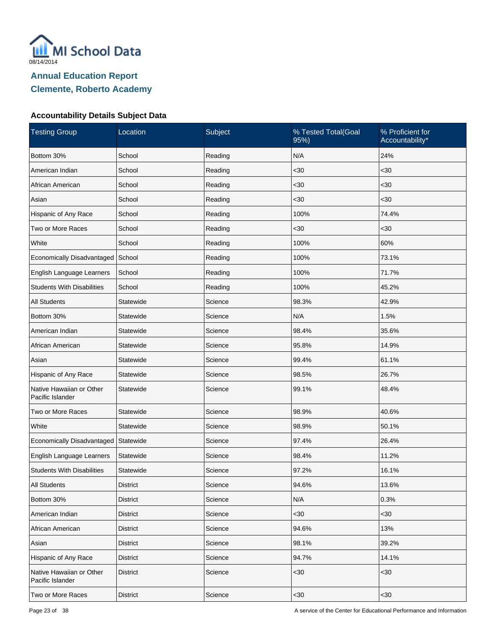

| <b>Testing Group</b>                         | Location        | Subject | % Tested Total(Goal<br>95%) | % Proficient for<br>Accountability* |
|----------------------------------------------|-----------------|---------|-----------------------------|-------------------------------------|
| Bottom 30%                                   | School          | Reading | N/A                         | 24%                                 |
| American Indian                              | School          | Reading | $30$                        | $30$                                |
| African American                             | School          | Reading | $30$                        | $30$                                |
| Asian                                        | School          | Reading | $30$                        | $30$                                |
| Hispanic of Any Race                         | School          | Reading | 100%                        | 74.4%                               |
| Two or More Races                            | School          | Reading | $30$                        | $30$                                |
| White                                        | School          | Reading | 100%                        | 60%                                 |
| Economically Disadvantaged                   | School          | Reading | 100%                        | 73.1%                               |
| English Language Learners                    | School          | Reading | 100%                        | 71.7%                               |
| <b>Students With Disabilities</b>            | School          | Reading | 100%                        | 45.2%                               |
| <b>All Students</b>                          | Statewide       | Science | 98.3%                       | 42.9%                               |
| Bottom 30%                                   | Statewide       | Science | N/A                         | 1.5%                                |
| American Indian                              | Statewide       | Science | 98.4%                       | 35.6%                               |
| African American                             | Statewide       | Science | 95.8%                       | 14.9%                               |
| Asian                                        | Statewide       | Science | 99.4%                       | 61.1%                               |
| Hispanic of Any Race                         | Statewide       | Science | 98.5%                       | 26.7%                               |
| Native Hawaiian or Other<br>Pacific Islander | Statewide       | Science | 99.1%                       | 48.4%                               |
| Two or More Races                            | Statewide       | Science | 98.9%                       | 40.6%                               |
| White                                        | Statewide       | Science | 98.9%                       | 50.1%                               |
| Economically Disadvantaged                   | Statewide       | Science | 97.4%                       | 26.4%                               |
| English Language Learners                    | Statewide       | Science | 98.4%                       | 11.2%                               |
| <b>Students With Disabilities</b>            | Statewide       | Science | 97.2%                       | 16.1%                               |
| <b>All Students</b>                          | <b>District</b> | Science | 94.6%                       | 13.6%                               |
| Bottom 30%                                   | <b>District</b> | Science | N/A                         | 0.3%                                |
| American Indian                              | <b>District</b> | Science | $30$                        | $30$                                |
| African American                             | <b>District</b> | Science | 94.6%                       | 13%                                 |
| Asian                                        | <b>District</b> | Science | 98.1%                       | 39.2%                               |
| Hispanic of Any Race                         | <b>District</b> | Science | 94.7%                       | 14.1%                               |
| Native Hawaiian or Other<br>Pacific Islander | <b>District</b> | Science | $30$                        | <30                                 |
| Two or More Races                            | <b>District</b> | Science | $30$                        | $30$                                |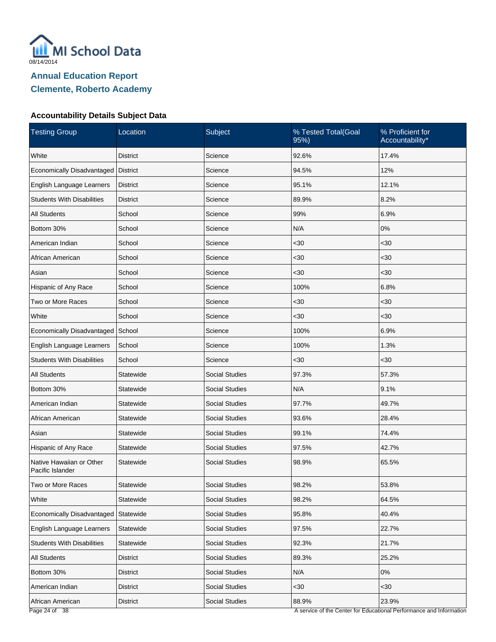

| Location                             | Subject               | % Tested Total(Goal<br>95%) | % Proficient for<br>Accountability*                                 |
|--------------------------------------|-----------------------|-----------------------------|---------------------------------------------------------------------|
| <b>District</b>                      | Science               | 92.6%                       | 17.4%                                                               |
| <b>District</b>                      | Science               | 94.5%                       | 12%                                                                 |
| <b>District</b>                      | Science               | 95.1%                       | 12.1%                                                               |
| <b>District</b>                      | Science               | 89.9%                       | 8.2%                                                                |
| School                               | Science               | 99%                         | 6.9%                                                                |
| School                               | Science               | N/A                         | $0\%$                                                               |
| School                               | Science               | $30$                        | <30                                                                 |
| School                               | Science               | $30$                        | $30$                                                                |
| School                               | Science               | $30$                        | $30$                                                                |
| School                               | Science               | 100%                        | 6.8%                                                                |
| School                               | Science               | $30$                        | <30                                                                 |
| School                               | Science               | $30$                        | $30$                                                                |
| School                               | Science               | 100%                        | 6.9%                                                                |
| School                               | Science               | 100%                        | 1.3%                                                                |
| School                               | Science               | $30$                        | $30$                                                                |
| Statewide                            | <b>Social Studies</b> | 97.3%                       | 57.3%                                                               |
| Statewide                            | <b>Social Studies</b> | N/A                         | 9.1%                                                                |
| Statewide                            | <b>Social Studies</b> | 97.7%                       | 49.7%                                                               |
| Statewide                            | <b>Social Studies</b> | 93.6%                       | 28.4%                                                               |
| Statewide                            | <b>Social Studies</b> | 99.1%                       | 74.4%                                                               |
| Statewide                            | <b>Social Studies</b> | 97.5%                       | 42.7%                                                               |
| Statewide                            | <b>Social Studies</b> | 98.9%                       | 65.5%                                                               |
| Statewide                            | Social Studies        | 98.2%                       | 53.8%                                                               |
| Statewide                            | <b>Social Studies</b> | 98.2%                       | 64.5%                                                               |
| Economically Disadvantaged Statewide | <b>Social Studies</b> | 95.8%                       | 40.4%                                                               |
| Statewide                            | Social Studies        | 97.5%                       | 22.7%                                                               |
| Statewide                            | <b>Social Studies</b> | 92.3%                       | 21.7%                                                               |
| <b>District</b>                      | Social Studies        | 89.3%                       | 25.2%                                                               |
| <b>District</b>                      | <b>Social Studies</b> | N/A                         | $0\%$                                                               |
| <b>District</b>                      | Social Studies        | $30$                        | <30                                                                 |
| District                             | Social Studies        | 88.9%                       | 23.9%                                                               |
|                                      |                       |                             | A service of the Center for Educational Performance and Information |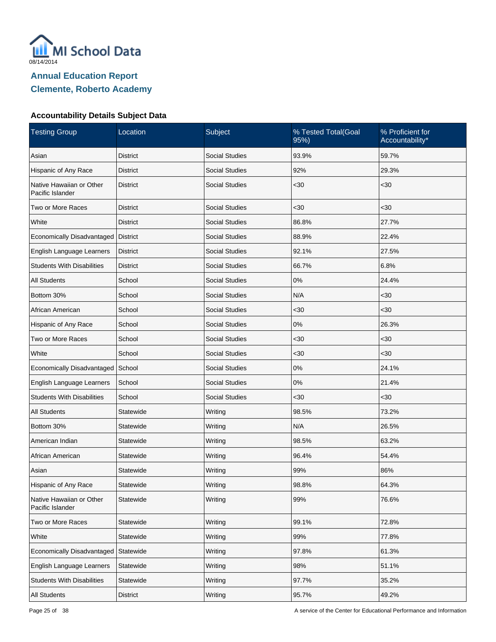

| <b>Testing Group</b>                         | Location        | Subject               | % Tested Total(Goal<br>95%) | % Proficient for<br>Accountability* |
|----------------------------------------------|-----------------|-----------------------|-----------------------------|-------------------------------------|
| Asian                                        | <b>District</b> | <b>Social Studies</b> | 93.9%                       | 59.7%                               |
| Hispanic of Any Race                         | <b>District</b> | <b>Social Studies</b> | 92%                         | 29.3%                               |
| Native Hawaiian or Other<br>Pacific Islander | <b>District</b> | <b>Social Studies</b> | $30$                        | $30$                                |
| Two or More Races                            | <b>District</b> | Social Studies        | $30$                        | <30                                 |
| White                                        | <b>District</b> | <b>Social Studies</b> | 86.8%                       | 27.7%                               |
| Economically Disadvantaged   District        |                 | <b>Social Studies</b> | 88.9%                       | 22.4%                               |
| English Language Learners                    | <b>District</b> | <b>Social Studies</b> | 92.1%                       | 27.5%                               |
| <b>Students With Disabilities</b>            | <b>District</b> | <b>Social Studies</b> | 66.7%                       | 6.8%                                |
| <b>All Students</b>                          | School          | <b>Social Studies</b> | 0%                          | 24.4%                               |
| Bottom 30%                                   | School          | <b>Social Studies</b> | N/A                         | $30$                                |
| African American                             | School          | <b>Social Studies</b> | $30$                        | $30$                                |
| Hispanic of Any Race                         | School          | <b>Social Studies</b> | 0%                          | 26.3%                               |
| Two or More Races                            | School          | <b>Social Studies</b> | $30$                        | <30                                 |
| White                                        | School          | <b>Social Studies</b> | $30$                        | $30$                                |
| Economically Disadvantaged School            |                 | <b>Social Studies</b> | 0%                          | 24.1%                               |
| English Language Learners                    | School          | <b>Social Studies</b> | 0%                          | 21.4%                               |
| <b>Students With Disabilities</b>            | School          | <b>Social Studies</b> | $30$                        | $30$                                |
| All Students                                 | Statewide       | Writing               | 98.5%                       | 73.2%                               |
| Bottom 30%                                   | Statewide       | Writing               | N/A                         | 26.5%                               |
| American Indian                              | Statewide       | Writing               | 98.5%                       | 63.2%                               |
| African American                             | Statewide       | Writing               | 96.4%                       | 54.4%                               |
| Asian                                        | Statewide       | Writing               | 99%                         | 86%                                 |
| Hispanic of Any Race                         | Statewide       | Writing               | 98.8%                       | 64.3%                               |
| Native Hawaiian or Other<br>Pacific Islander | Statewide       | Writing               | 99%                         | 76.6%                               |
| Two or More Races                            | Statewide       | Writing               | 99.1%                       | 72.8%                               |
| White                                        | Statewide       | Writing               | 99%                         | 77.8%                               |
| Economically Disadvantaged                   | Statewide       | Writing               | 97.8%                       | 61.3%                               |
| English Language Learners                    | Statewide       | Writing               | 98%                         | 51.1%                               |
| <b>Students With Disabilities</b>            | Statewide       | Writing               | 97.7%                       | 35.2%                               |
| All Students                                 | <b>District</b> | Writing               | 95.7%                       | 49.2%                               |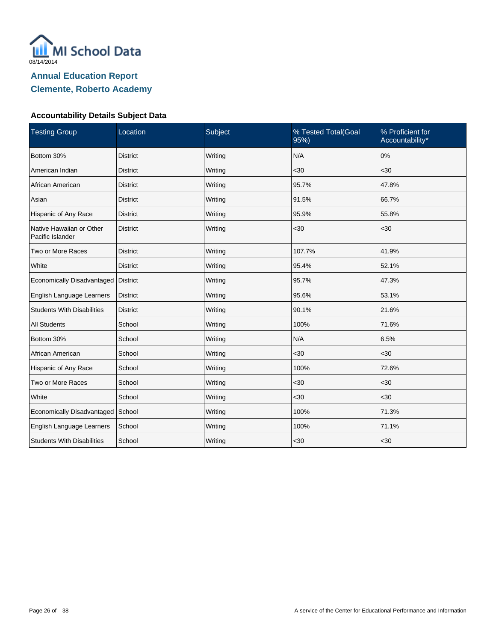

| <b>Testing Group</b>                         | Location        | Subject | % Tested Total(Goal<br>95%) | % Proficient for<br>Accountability* |
|----------------------------------------------|-----------------|---------|-----------------------------|-------------------------------------|
| Bottom 30%                                   | <b>District</b> | Writing | N/A                         | 0%                                  |
| American Indian                              | <b>District</b> | Writing | $30$                        | <30                                 |
| African American                             | <b>District</b> | Writing | 95.7%                       | 47.8%                               |
| Asian                                        | <b>District</b> | Writing | 91.5%                       | 66.7%                               |
| Hispanic of Any Race                         | <b>District</b> | Writing | 95.9%                       | 55.8%                               |
| Native Hawaiian or Other<br>Pacific Islander | <b>District</b> | Writing | $30$                        | <30                                 |
| Two or More Races                            | <b>District</b> | Writing | 107.7%                      | 41.9%                               |
| White                                        | <b>District</b> | Writing | 95.4%                       | 52.1%                               |
| Economically Disadvantaged                   | District        | Writing | 95.7%                       | 47.3%                               |
| English Language Learners                    | <b>District</b> | Writing | 95.6%                       | 53.1%                               |
| <b>Students With Disabilities</b>            | <b>District</b> | Writing | 90.1%                       | 21.6%                               |
| <b>All Students</b>                          | School          | Writing | 100%                        | 71.6%                               |
| Bottom 30%                                   | School          | Writing | N/A                         | 6.5%                                |
| African American                             | School          | Writing | <30                         | $30$                                |
| Hispanic of Any Race                         | School          | Writing | 100%                        | 72.6%                               |
| Two or More Races                            | School          | Writing | <30                         | <30                                 |
| White                                        | School          | Writing | <30                         | $30$                                |
| Economically Disadvantaged                   | School          | Writing | 100%                        | 71.3%                               |
| English Language Learners                    | School          | Writing | 100%                        | 71.1%                               |
| <b>Students With Disabilities</b>            | School          | Writing | $30$                        | <30                                 |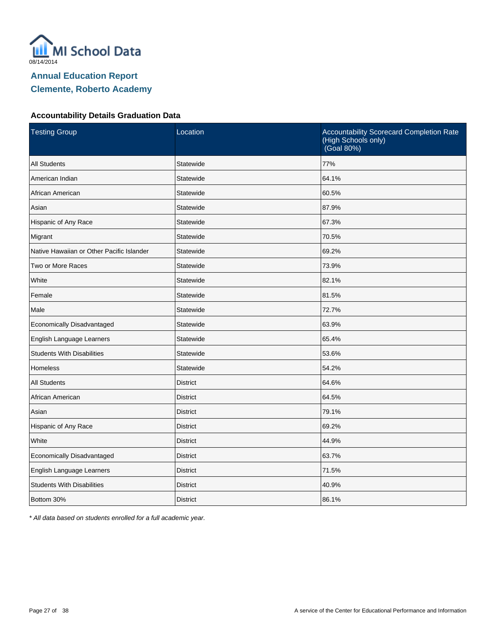

#### **Accountability Details Graduation Data**

| <b>Testing Group</b>                      | Location        | Accountability Scorecard Completion Rate<br>(High Schools only)<br>(Goal 80%) |
|-------------------------------------------|-----------------|-------------------------------------------------------------------------------|
| <b>All Students</b>                       | Statewide       | 77%                                                                           |
| American Indian                           | Statewide       | 64.1%                                                                         |
| African American                          | Statewide       | 60.5%                                                                         |
| Asian                                     | Statewide       | 87.9%                                                                         |
| Hispanic of Any Race                      | Statewide       | 67.3%                                                                         |
| Migrant                                   | Statewide       | 70.5%                                                                         |
| Native Hawaiian or Other Pacific Islander | Statewide       | 69.2%                                                                         |
| Two or More Races                         | Statewide       | 73.9%                                                                         |
| White                                     | Statewide       | 82.1%                                                                         |
| Female                                    | Statewide       | 81.5%                                                                         |
| Male                                      | Statewide       | 72.7%                                                                         |
| Economically Disadvantaged                | Statewide       | 63.9%                                                                         |
| English Language Learners                 | Statewide       | 65.4%                                                                         |
| <b>Students With Disabilities</b>         | Statewide       | 53.6%                                                                         |
| <b>Homeless</b>                           | Statewide       | 54.2%                                                                         |
| <b>All Students</b>                       | <b>District</b> | 64.6%                                                                         |
| African American                          | <b>District</b> | 64.5%                                                                         |
| Asian                                     | <b>District</b> | 79.1%                                                                         |
| Hispanic of Any Race                      | <b>District</b> | 69.2%                                                                         |
| White                                     | <b>District</b> | 44.9%                                                                         |
| Economically Disadvantaged                | <b>District</b> | 63.7%                                                                         |
| English Language Learners                 | <b>District</b> | 71.5%                                                                         |
| <b>Students With Disabilities</b>         | <b>District</b> | 40.9%                                                                         |
| Bottom 30%                                | <b>District</b> | 86.1%                                                                         |

\* All data based on students enrolled for a full academic year.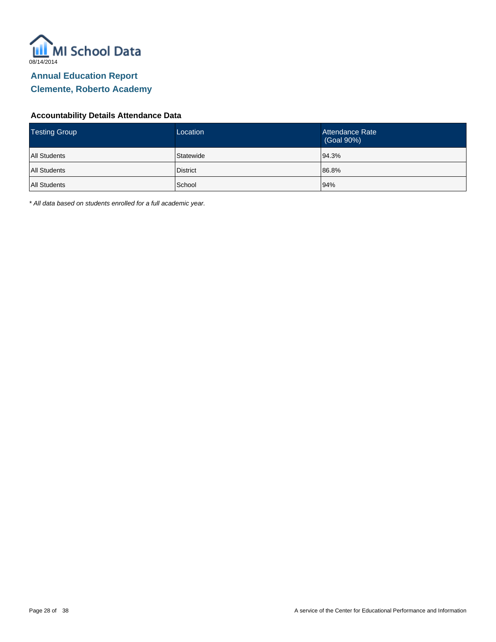

#### **Accountability Details Attendance Data**

| <b>Testing Group</b> | Location        | Attendance Rate<br>(Goal 90%) |
|----------------------|-----------------|-------------------------------|
| <b>All Students</b>  | Statewide       | 94.3%                         |
| <b>All Students</b>  | <b>District</b> | 86.8%                         |
| <b>All Students</b>  | School          | 94%                           |

\* All data based on students enrolled for a full academic year.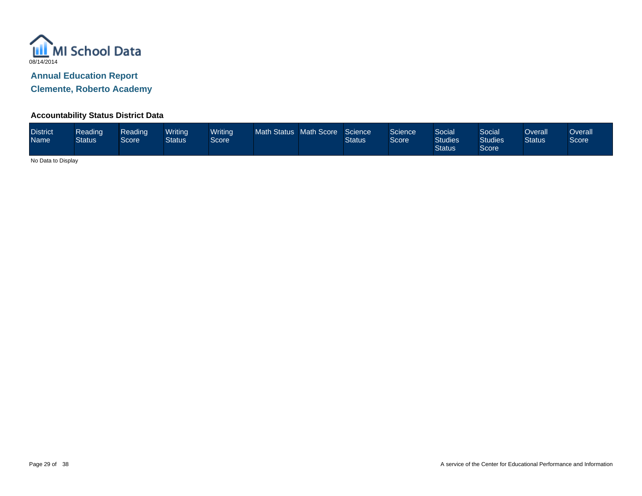

**Clemente, Roberto Academy**

#### **Accountability Status District Data**

| <b>District</b><br><b>Name</b> | Reading<br><b>Status</b> | Reading<br>Score | Writinal<br><b>Status</b> | <b>Writing</b><br>Score <sup>'</sup> | Math Status Math Score |  | Science<br><b>Status</b> | Science<br>Score | Social<br><b>Studies</b><br><b>Status</b> | Social<br><b>Studies</b><br>Score | Overall<br><b>Status</b> | Overall<br>Score |
|--------------------------------|--------------------------|------------------|---------------------------|--------------------------------------|------------------------|--|--------------------------|------------------|-------------------------------------------|-----------------------------------|--------------------------|------------------|
|--------------------------------|--------------------------|------------------|---------------------------|--------------------------------------|------------------------|--|--------------------------|------------------|-------------------------------------------|-----------------------------------|--------------------------|------------------|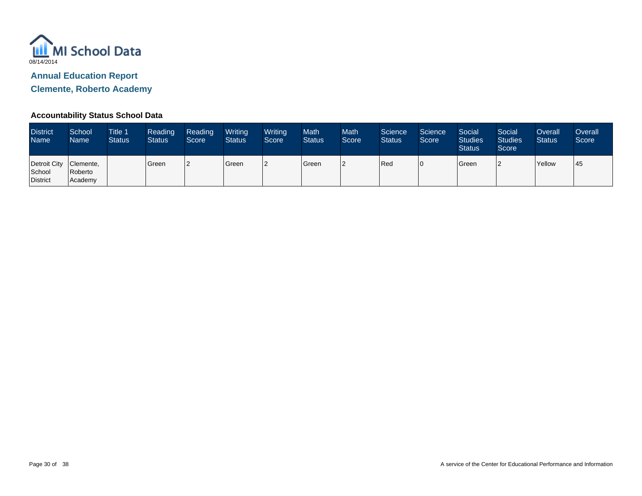

**Clemente, Roberto Academy**

#### **Accountability Status School Data**

| <b>District</b><br><b>Name</b>                        | School<br><b>Name</b> | <b>Title 1</b><br><b>Status</b> | Reading<br><b>Status</b> | Reading<br>Score | Writing<br><b>Status</b> | Writing<br>Score | <b>Math</b><br><b>Status</b> | <b>Math</b><br>Score | Science<br><b>Status</b> | Science<br>Score | Social<br>Studies<br><b>Status</b> | Social<br>Studies<br>Score | Overall<br><b>Status</b> | Overall<br>Score |
|-------------------------------------------------------|-----------------------|---------------------------------|--------------------------|------------------|--------------------------|------------------|------------------------------|----------------------|--------------------------|------------------|------------------------------------|----------------------------|--------------------------|------------------|
| Detroit City   Clemente,<br>School<br><b>District</b> | Roberto<br>Academy    |                                 | Green                    | 12               | Green                    |                  | Green                        |                      | Red                      | 10               | Green                              |                            | Yellow                   | 45               |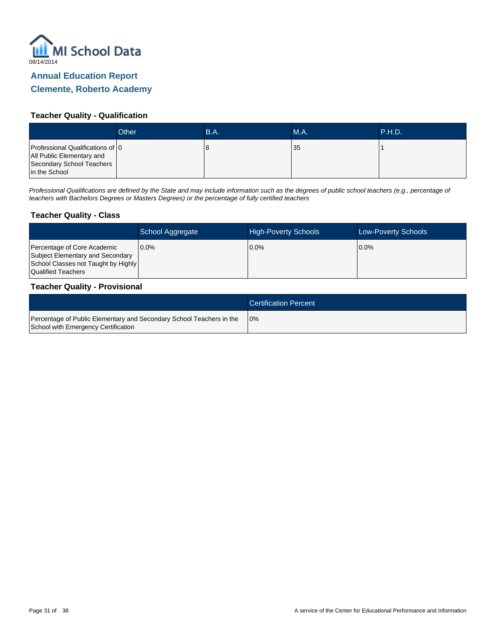

#### **Teacher Quality - Qualification**

|                                                                                                             | Other | B.A. | M.A. | .P.H.D. |
|-------------------------------------------------------------------------------------------------------------|-------|------|------|---------|
| Professional Qualifications of 0<br>All Public Elementary and<br>Secondary School Teachers<br>in the School |       | O    | 35   |         |

Professional Qualifications are defined by the State and may include information such as the degrees of public school teachers (e.g., percentage of teachers with Bachelors Degrees or Masters Degrees) or the percentage of fully certified teachers

#### **Teacher Quality - Class**

|                                                                                                                              | School Aggregate | <b>High-Poverty Schools</b> | <b>Low-Poverty Schools</b> |
|------------------------------------------------------------------------------------------------------------------------------|------------------|-----------------------------|----------------------------|
| Percentage of Core Academic<br>Subject Elementary and Secondary<br>School Classes not Taught by Highly<br>Qualified Teachers | $0.0\%$          | $0.0\%$                     | $10.0\%$                   |

#### **Teacher Quality - Provisional**

|                                                                                                             | <b>Certification Percent</b> |
|-------------------------------------------------------------------------------------------------------------|------------------------------|
| Percentage of Public Elementary and Secondary School Teachers in the<br>School with Emergency Certification | 10%                          |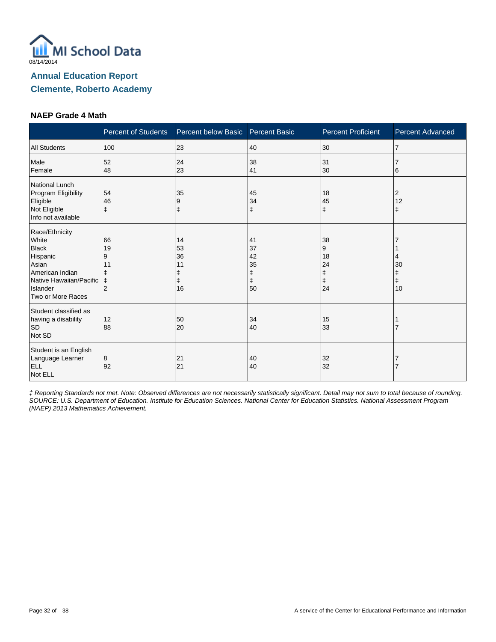

#### **NAEP Grade 4 Math**

|                                                                                                                                             | <b>Percent of Students</b>             | Percent below Basic             | <b>Percent Basic</b>                 | <b>Percent Proficient</b>                    | <b>Percent Advanced</b> |
|---------------------------------------------------------------------------------------------------------------------------------------------|----------------------------------------|---------------------------------|--------------------------------------|----------------------------------------------|-------------------------|
| <b>All Students</b>                                                                                                                         | 100                                    | 23                              | 40                                   | 30                                           | $\overline{7}$          |
| Male<br>Female                                                                                                                              | 52<br>48                               | 24<br>23                        | 38<br>41                             | 31<br>30                                     | 6                       |
| National Lunch<br>Program Eligibility<br>Eligible<br>Not Eligible<br>Info not available                                                     | 54<br>46                               | 35<br>9<br>ŧ                    | 45<br>34<br>ŧ                        | 18<br>45<br>$\ddagger$                       | 2<br>12<br>$\ddagger$   |
| Race/Ethnicity<br>White<br><b>Black</b><br>Hispanic<br>Asian<br>American Indian<br>Native Hawaiian/Pacific<br>Islander<br>Two or More Races | 66<br>19<br>9<br>11<br>$\ddagger$<br>2 | 14<br>53<br>36<br>11<br>ŧ<br>16 | 41<br>37<br>42<br>35<br>ŧ<br>ŧ<br>50 | 38<br>9<br>18<br>24<br>ŧ<br>$\ddagger$<br>24 | 30<br>$\ddagger$<br>10  |
| Student classified as<br>having a disability<br><b>SD</b><br>Not SD                                                                         | 12<br>88                               | 50<br>20                        | 34<br>40                             | 15<br>33                                     |                         |
| Student is an English<br>Language Learner<br><b>ELL</b><br>Not ELL                                                                          | 8<br>92                                | 21<br>21                        | 40<br>40                             | 32<br>32                                     |                         |

‡ Reporting Standards not met. Note: Observed differences are not necessarily statistically significant. Detail may not sum to total because of rounding. SOURCE: U.S. Department of Education. Institute for Education Sciences. National Center for Education Statistics. National Assessment Program (NAEP) 2013 Mathematics Achievement.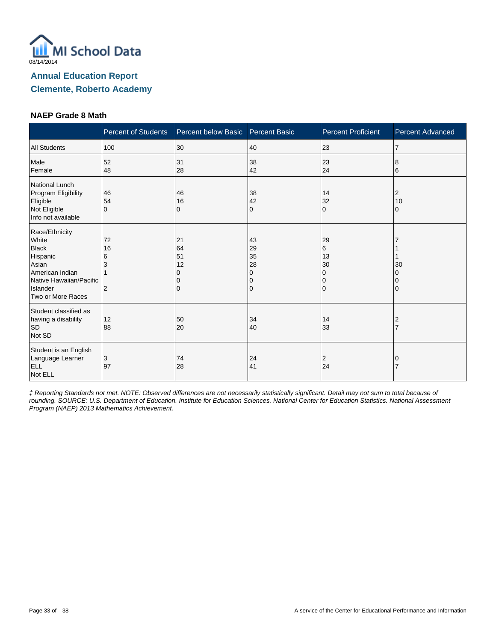

#### **NAEP Grade 8 Math**

|                                                                                                                                             | <b>Percent of Students</b>           | Percent below Basic       | <b>Percent Basic</b>                | <b>Percent Proficient</b>                           | <b>Percent Advanced</b> |
|---------------------------------------------------------------------------------------------------------------------------------------------|--------------------------------------|---------------------------|-------------------------------------|-----------------------------------------------------|-------------------------|
| <b>All Students</b>                                                                                                                         | 100                                  | 30                        | 40                                  | 23                                                  | $\overline{7}$          |
| Male<br>Female                                                                                                                              | 52<br>48                             | 31<br>28                  | 38<br>42                            | 23<br>24                                            | 8<br>6                  |
| National Lunch<br>Program Eligibility<br>Eligible<br>Not Eligible<br>Info not available                                                     | 46<br>54<br>$\Omega$                 | 46<br>16<br>0             | 38<br>42<br>0                       | 14<br>32<br>$\Omega$                                | 2<br>10<br>0            |
| Race/Ethnicity<br>White<br><b>Black</b><br>Hispanic<br>Asian<br>American Indian<br>Native Hawaiian/Pacific<br>Islander<br>Two or More Races | 72<br>16<br>6<br>3<br>$\overline{2}$ | 21<br>64<br>51<br>12<br>0 | 43<br>29<br>35<br>28<br>0<br>0<br>0 | 29<br>6<br>13<br>30<br>$\Omega$<br>0<br>$\mathbf 0$ | 30                      |
| Student classified as<br>having a disability<br><b>SD</b><br>Not SD                                                                         | 12<br>88                             | 50<br>20                  | 34<br>40                            | 14<br>33                                            | 2                       |
| Student is an English<br>Language Learner<br><b>ELL</b><br>Not ELL                                                                          | 3<br>97                              | 74<br>28                  | 24<br>41                            | 2<br>24                                             |                         |

‡ Reporting Standards not met. NOTE: Observed differences are not necessarily statistically significant. Detail may not sum to total because of rounding. SOURCE: U.S. Department of Education. Institute for Education Sciences. National Center for Education Statistics. National Assessment Program (NAEP) 2013 Mathematics Achievement.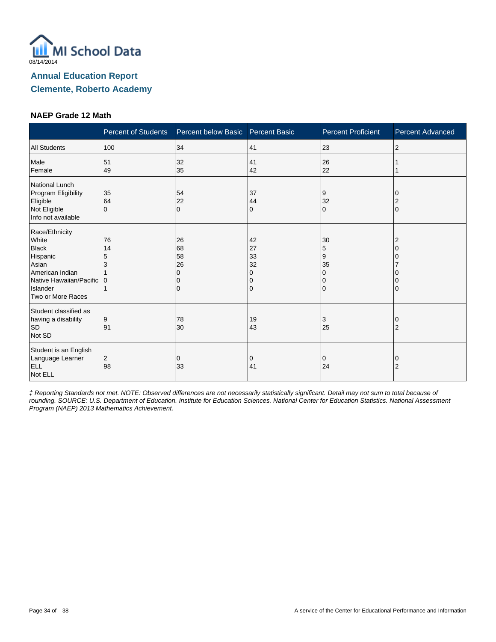

#### **NAEP Grade 12 Math**

|                                                                                                                                             | <b>Percent of Students</b> | Percent below Basic Percent Basic |                                     | <b>Percent Proficient</b> | <b>Percent Advanced</b> |
|---------------------------------------------------------------------------------------------------------------------------------------------|----------------------------|-----------------------------------|-------------------------------------|---------------------------|-------------------------|
| <b>All Students</b>                                                                                                                         | 100                        | 34                                | 41                                  | 23                        | 2                       |
| Male<br>Female                                                                                                                              | 51<br>49                   | 32<br>35                          | 41<br>42                            | 26<br>22                  |                         |
| National Lunch<br>Program Eligibility<br>Eligible<br>Not Eligible<br>Info not available                                                     | 35<br>64<br>$\Omega$       | 54<br>22<br>$\Omega$              | 37<br>44<br>0                       | 9<br>32<br>$\Omega$       | $\Omega$                |
| Race/Ethnicity<br>White<br><b>Black</b><br>Hispanic<br>Asian<br>American Indian<br>Native Hawaiian/Pacific<br>Islander<br>Two or More Races | 76<br>14<br>5<br>3<br>10   | 26<br>68<br>58<br>26              | 42<br>27<br>33<br>32<br>O<br>0<br>0 | 30<br>5<br>9<br>35<br>0   |                         |
| Student classified as<br>having a disability<br><b>SD</b><br>Not SD                                                                         | 9<br>91                    | 78<br>30                          | 19<br>43                            | 3<br>25                   | $\overline{2}$          |
| Student is an English<br>Language Learner<br><b>ELL</b><br>Not ELL                                                                          | 2<br>98                    | 0<br>33                           | 0<br>41                             | 0<br>24                   | O<br>$\overline{2}$     |

‡ Reporting Standards not met. NOTE: Observed differences are not necessarily statistically significant. Detail may not sum to total because of rounding. SOURCE: U.S. Department of Education. Institute for Education Sciences. National Center for Education Statistics. National Assessment Program (NAEP) 2013 Mathematics Achievement.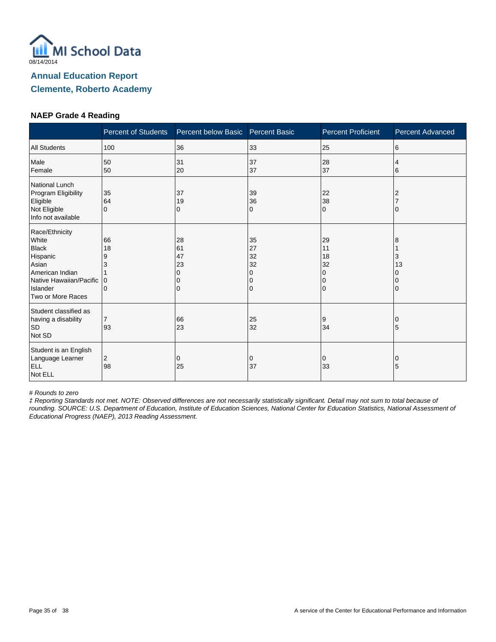

#### **NAEP Grade 4 Reading**

|                                                                                                                                             | <b>Percent of Students</b>          | Percent below Basic            | <b>Percent Basic</b>                | <b>Percent Proficient</b>             | <b>Percent Advanced</b> |
|---------------------------------------------------------------------------------------------------------------------------------------------|-------------------------------------|--------------------------------|-------------------------------------|---------------------------------------|-------------------------|
| <b>All Students</b>                                                                                                                         | 100                                 | 36                             | 33                                  | 25                                    | 6                       |
| Male<br>Female                                                                                                                              | 50<br>50                            | 31<br>20                       | 37<br>37                            | 28<br>37                              | 4<br>6                  |
| National Lunch<br>Program Eligibility<br>Eligible<br>Not Eligible<br>Info not available                                                     | 35<br>64<br>$\Omega$                | 37<br>19<br>0                  | 39<br>36<br>0                       | 22<br>38<br>$\Omega$                  | 2                       |
| Race/Ethnicity<br>White<br><b>Black</b><br>Hispanic<br>Asian<br>American Indian<br>Native Hawaiian/Pacific<br>Islander<br>Two or More Races | 66<br>18<br>9<br>3<br>0<br>$\Omega$ | 28<br>61<br>47<br>23<br>n<br>0 | 35<br>27<br>32<br>32<br>0<br>0<br>0 | 29<br>11<br>18<br>32<br>0<br>$\Omega$ | 8<br>3<br>13<br>0       |
| Student classified as<br>having a disability<br><b>SD</b><br>Not SD                                                                         | $\overline{7}$<br>93                | 66<br>23                       | 25<br>32                            | 9<br>34                               | 5                       |
| Student is an English<br>Language Learner<br><b>ELL</b><br>Not ELL                                                                          | 2<br>98                             | 0<br>25                        | 0<br>37                             | 0<br>33                               | 0<br>5                  |

# Rounds to zero

‡ Reporting Standards not met. NOTE: Observed differences are not necessarily statistically significant. Detail may not sum to total because of rounding. SOURCE: U.S. Department of Education, Institute of Education Sciences, National Center for Education Statistics, National Assessment of Educational Progress (NAEP), 2013 Reading Assessment.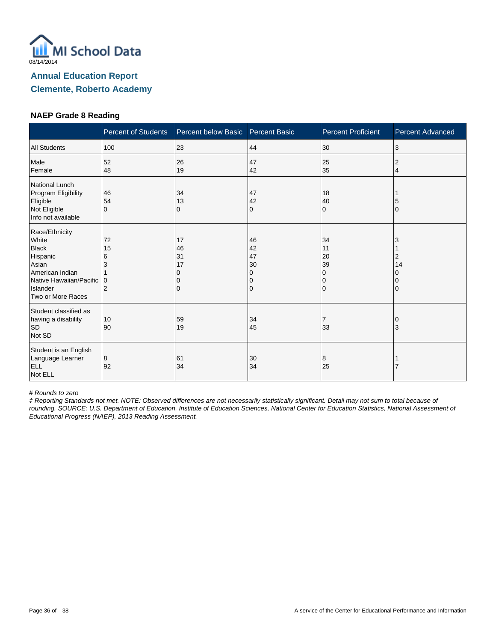

#### **NAEP Grade 8 Reading**

|                                                                                                                                             | <b>Percent of Students</b>                | Percent below Basic       | <b>Percent Basic</b>                | <b>Percent Proficient</b>                     | <b>Percent Advanced</b> |
|---------------------------------------------------------------------------------------------------------------------------------------------|-------------------------------------------|---------------------------|-------------------------------------|-----------------------------------------------|-------------------------|
| <b>All Students</b>                                                                                                                         | 100                                       | 23                        | 44                                  | 30                                            | 3                       |
| Male<br>Female                                                                                                                              | 52<br>48                                  | 26<br>19                  | 47<br>42                            | 25<br>35                                      | 2<br>4                  |
| National Lunch<br>Program Eligibility<br>Eligible<br>Not Eligible<br>Info not available                                                     | 46<br>54<br>$\Omega$                      | 34<br>13<br>0             | 47<br>42<br>0                       | 18<br>40<br>$\Omega$                          | 5<br>$\mathbf{0}$       |
| Race/Ethnicity<br>White<br><b>Black</b><br>Hispanic<br>Asian<br>American Indian<br>Native Hawaiian/Pacific<br>Islander<br>Two or More Races | 72<br>15<br>6<br>3<br>0<br>$\overline{2}$ | 17<br>46<br>31<br>17<br>0 | 46<br>42<br>47<br>30<br>0<br>0<br>0 | 34<br>11<br>20<br>39<br>0<br>0<br>$\mathbf 0$ | 3<br>2<br>14            |
| Student classified as<br>having a disability<br><b>SD</b><br>Not SD                                                                         | 10<br>90                                  | 59<br>19                  | 34<br>45                            | $\overline{7}$<br>33                          | 3                       |
| Student is an English<br>Language Learner<br>ELL<br>Not ELL                                                                                 | 8<br>92                                   | 61<br>34                  | 30<br>34                            | 8<br>25                                       |                         |

# Rounds to zero

‡ Reporting Standards not met. NOTE: Observed differences are not necessarily statistically significant. Detail may not sum to total because of rounding. SOURCE: U.S. Department of Education, Institute of Education Sciences, National Center for Education Statistics, National Assessment of Educational Progress (NAEP), 2013 Reading Assessment.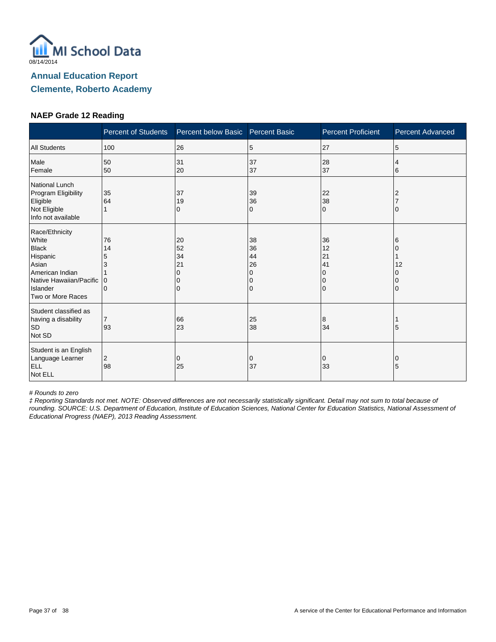

#### **NAEP Grade 12 Reading**

|                                                                                                                                             | <b>Percent of Students</b>                    | Percent below Basic            | <b>Percent Basic</b>                | <b>Percent Proficient</b>                                   | <b>Percent Advanced</b> |
|---------------------------------------------------------------------------------------------------------------------------------------------|-----------------------------------------------|--------------------------------|-------------------------------------|-------------------------------------------------------------|-------------------------|
| <b>All Students</b>                                                                                                                         | 100                                           | 26                             | 5                                   | 27                                                          | 5                       |
| Male<br>Female                                                                                                                              | 50<br>50                                      | 31<br>20                       | 37<br>37                            | 28<br>37                                                    | 4<br>6                  |
| National Lunch<br>Program Eligibility<br>Eligible<br>Not Eligible<br>Info not available                                                     | 35<br>64                                      | 37<br>19<br>0                  | 39<br>36<br>0                       | 22<br>38<br>$\Omega$                                        |                         |
| Race/Ethnicity<br>White<br><b>Black</b><br>Hispanic<br>Asian<br>American Indian<br>Native Hawaiian/Pacific<br>Islander<br>Two or More Races | 76<br>14<br>5<br>3<br>$\Omega$<br>$\mathbf 0$ | 20<br>52<br>34<br>21<br>O<br>0 | 38<br>36<br>44<br>26<br>0<br>0<br>0 | 36<br>12<br>21<br>41<br>$\Omega$<br>$\Omega$<br>$\mathbf 0$ | 6<br>12                 |
| Student classified as<br>having a disability<br><b>SD</b><br>Not SD                                                                         | $\overline{7}$<br>93                          | 66<br>23                       | 25<br>38                            | 8<br>34                                                     | 5                       |
| Student is an English<br>Language Learner<br><b>ELL</b><br>Not ELL                                                                          | 2<br>98                                       | 0<br>25                        | 0<br>37                             | 0<br>33                                                     | 0<br>5                  |

# Rounds to zero

‡ Reporting Standards not met. NOTE: Observed differences are not necessarily statistically significant. Detail may not sum to total because of rounding. SOURCE: U.S. Department of Education, Institute of Education Sciences, National Center for Education Statistics, National Assessment of Educational Progress (NAEP), 2013 Reading Assessment.